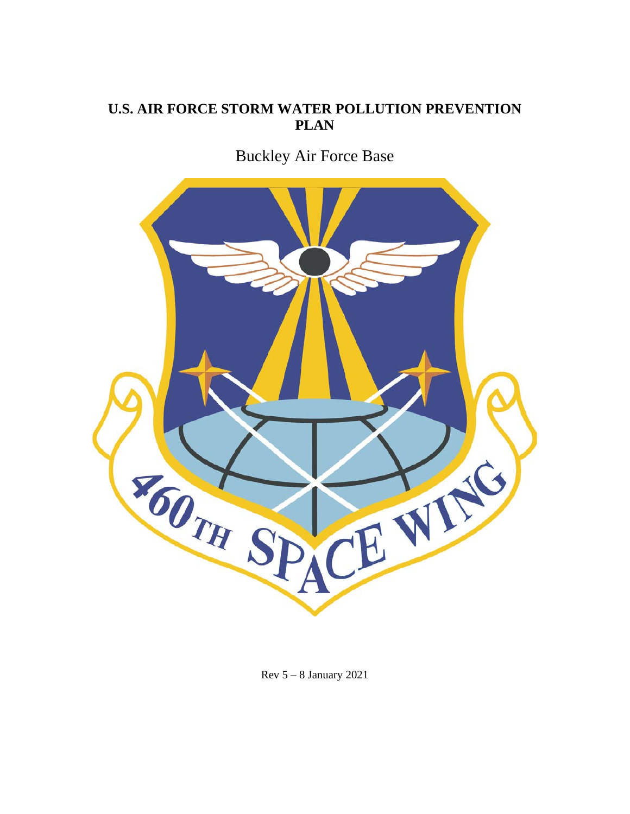# **U.S. AIR FORCE STORM WATER POLLUTION PREVENTION PLAN**

Buckley Air Force Base



Rev 5 – 8 January 2021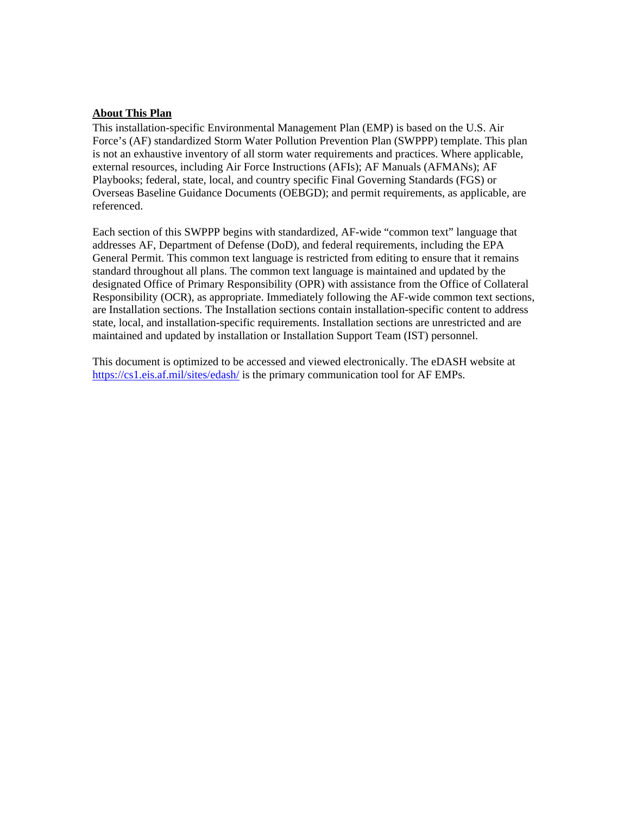#### **About This Plan**

This installation-specific Environmental Management Plan (EMP) is based on the U.S. Air Force's (AF) standardized Storm Water Pollution Prevention Plan (SWPPP) template. This plan is not an exhaustive inventory of all storm water requirements and practices. Where applicable, external resources, including Air Force Instructions (AFIs); AF Manuals (AFMANs); AF Playbooks; federal, state, local, and country specific Final Governing Standards (FGS) or Overseas Baseline Guidance Documents (OEBGD); and permit requirements, as applicable, are referenced.

Each section of this SWPPP begins with standardized, AF-wide "common text" language that addresses AF, Department of Defense (DoD), and federal requirements, including the EPA General Permit. This common text language is restricted from editing to ensure that it remains standard throughout all plans. The common text language is maintained and updated by the designated Office of Primary Responsibility (OPR) with assistance from the Office of Collateral Responsibility (OCR), as appropriate. Immediately following the AF-wide common text sections, are Installation sections. The Installation sections contain installation-specific content to address state, local, and installation-specific requirements. Installation sections are unrestricted and are maintained and updated by installation or Installation Support Team (IST) personnel.

This document is optimized to be accessed and viewed electronically. The eDASH website at <https://cs1.eis.af.mil/sites/edash/> is the primary communication tool for AF EMPs.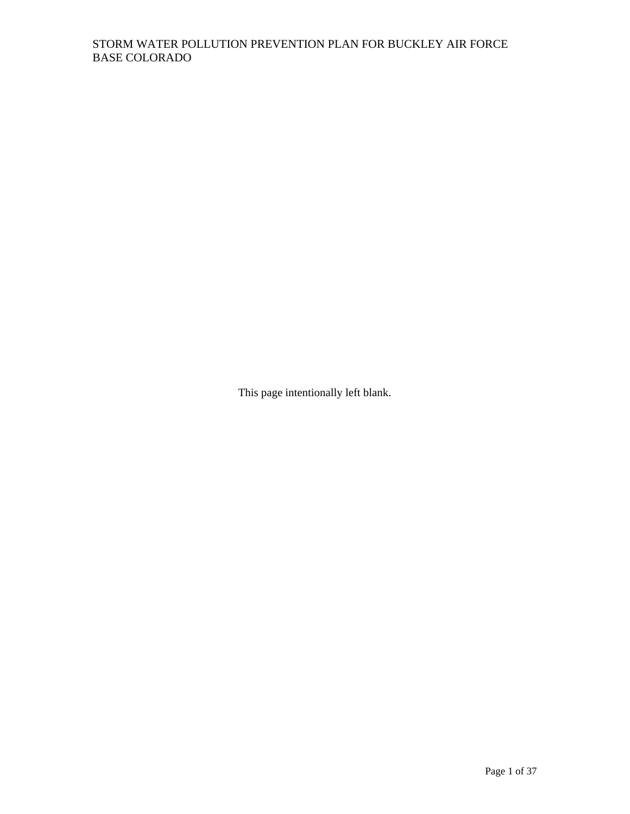This page intentionally left blank.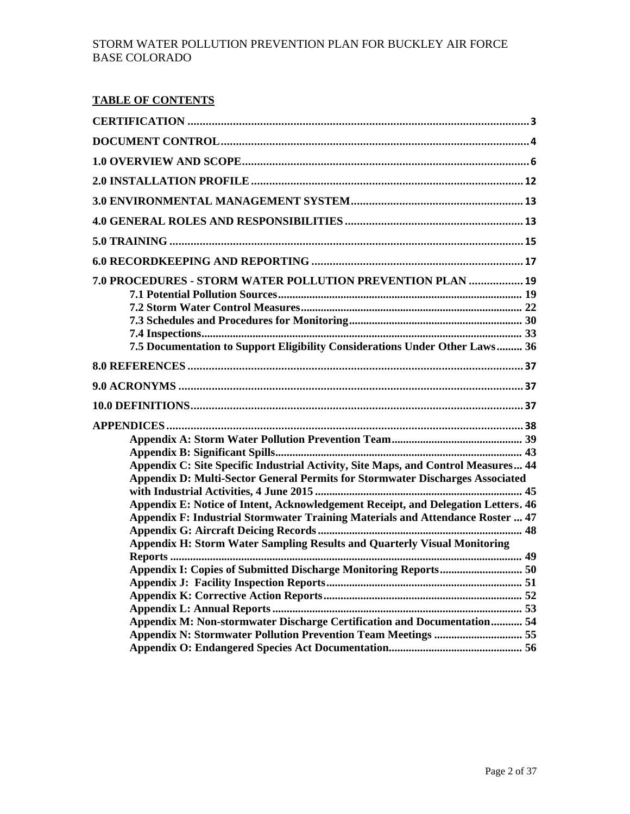# **TABLE OF CONTENTS**

| 7.0 PROCEDURES - STORM WATER POLLUTION PREVENTION PLAN  19<br>7.5 Documentation to Support Eligibility Considerations Under Other Laws 36                                                                                                                                                                                                                                                                             |
|-----------------------------------------------------------------------------------------------------------------------------------------------------------------------------------------------------------------------------------------------------------------------------------------------------------------------------------------------------------------------------------------------------------------------|
|                                                                                                                                                                                                                                                                                                                                                                                                                       |
|                                                                                                                                                                                                                                                                                                                                                                                                                       |
|                                                                                                                                                                                                                                                                                                                                                                                                                       |
| Appendix C: Site Specific Industrial Activity, Site Maps, and Control Measures 44<br>Appendix D: Multi-Sector General Permits for Stormwater Discharges Associated<br>Appendix E: Notice of Intent, Acknowledgement Receipt, and Delegation Letters. 46<br>Appendix F: Industrial Stormwater Training Materials and Attendance Roster  47<br>Appendix H: Storm Water Sampling Results and Quarterly Visual Monitoring |
| Appendix M: Non-stormwater Discharge Certification and Documentation 54<br>Appendix N: Stormwater Pollution Prevention Team Meetings  55                                                                                                                                                                                                                                                                              |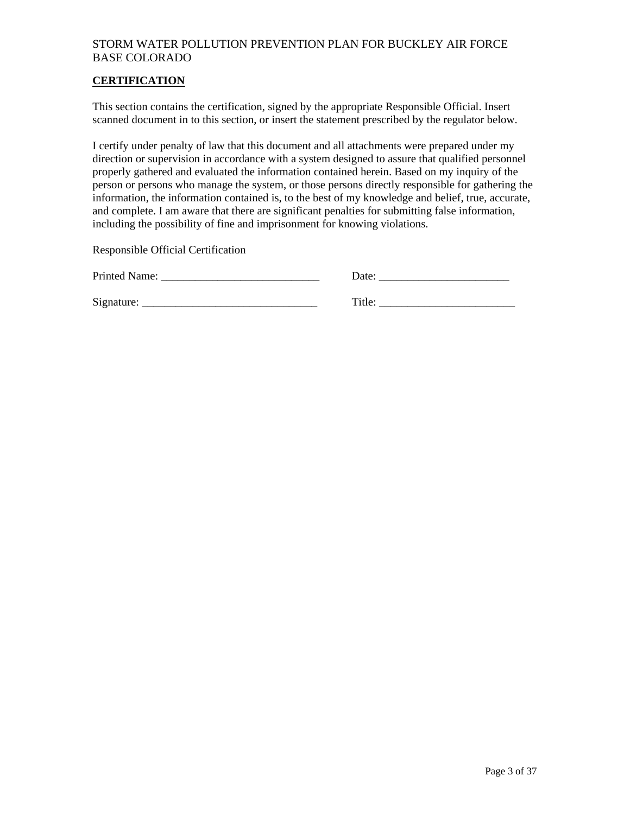#### <span id="page-4-0"></span>**CERTIFICATION**

This section contains the certification, signed by the appropriate Responsible Official. Insert scanned document in to this section, or insert the statement prescribed by the regulator below.

I certify under penalty of law that this document and all attachments were prepared under my direction or supervision in accordance with a system designed to assure that qualified personnel properly gathered and evaluated the information contained herein. Based on my inquiry of the person or persons who manage the system, or those persons directly responsible for gathering the information, the information contained is, to the best of my knowledge and belief, true, accurate, and complete. I am aware that there are significant penalties for submitting false information, including the possibility of fine and imprisonment for knowing violations.

Responsible Official Certification

| Printed Name: | Date:  |
|---------------|--------|
| Signature:    | Title: |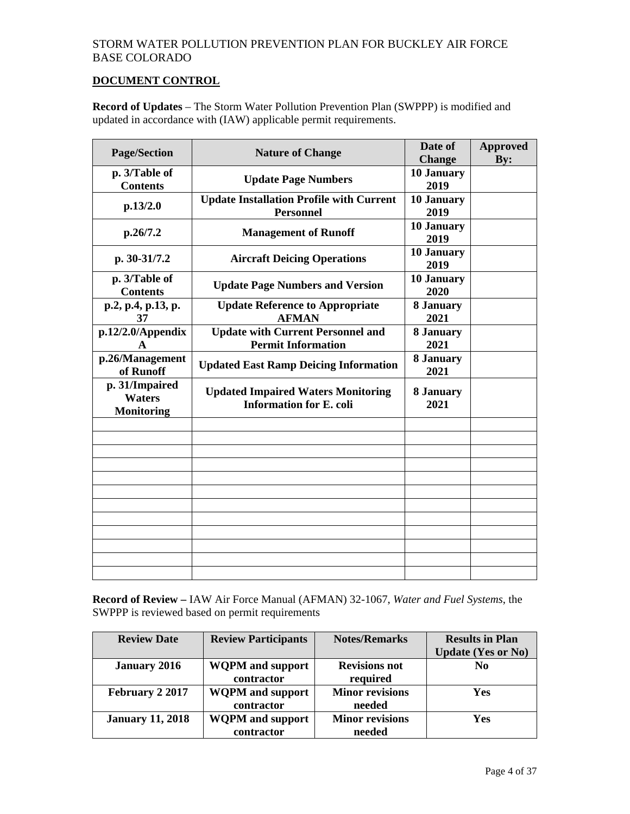# <span id="page-5-0"></span>**DOCUMENT CONTROL**

**Record of Updates** – The Storm Water Pollution Prevention Plan (SWPPP) is modified and updated in accordance with (IAW) applicable permit requirements.

| <b>Page/Section</b>                                  | <b>Nature of Change</b>                                                     | Date of<br><b>Change</b>  | <b>Approved</b><br>By: |
|------------------------------------------------------|-----------------------------------------------------------------------------|---------------------------|------------------------|
| p. 3/Table of<br><b>Contents</b>                     | <b>Update Page Numbers</b>                                                  | 10 January<br>2019        |                        |
| p.13/2.0                                             | <b>Update Installation Profile with Current</b><br><b>Personnel</b>         | <b>10 January</b><br>2019 |                        |
| p.26/7.2                                             | <b>Management of Runoff</b>                                                 | 10 January<br>2019        |                        |
| p. 30-31/7.2                                         | <b>Aircraft Deicing Operations</b>                                          | 10 January<br>2019        |                        |
| p. 3/Table of<br><b>Contents</b>                     | <b>Update Page Numbers and Version</b>                                      | 10 January<br>2020        |                        |
| p.2, p.4, p.13, p.<br>37                             | <b>Update Reference to Appropriate</b><br><b>AFMAN</b>                      | 8 January<br>2021         |                        |
| $p.12/2.0$ /Appendix<br>A                            | <b>Update with Current Personnel and</b><br><b>Permit Information</b>       | 8 January<br>2021         |                        |
| p.26/Management<br>of Runoff                         | <b>Updated East Ramp Deicing Information</b>                                | 8 January<br>2021         |                        |
| p. 31/Impaired<br><b>Waters</b><br><b>Monitoring</b> | <b>Updated Impaired Waters Monitoring</b><br><b>Information for E. coli</b> | 8 January<br>2021         |                        |
|                                                      |                                                                             |                           |                        |
|                                                      |                                                                             |                           |                        |
|                                                      |                                                                             |                           |                        |
|                                                      |                                                                             |                           |                        |
|                                                      |                                                                             |                           |                        |
|                                                      |                                                                             |                           |                        |
|                                                      |                                                                             |                           |                        |
|                                                      |                                                                             |                           |                        |
|                                                      |                                                                             |                           |                        |

**Record of Review –** IAW Air Force Manual (AFMAN) 32-1067, *Water and Fuel Systems*, the SWPPP is reviewed based on permit requirements

| <b>Review Date</b>      | <b>Review Participants</b> | <b>Notes/Remarks</b>   | <b>Results in Plan</b>    |
|-------------------------|----------------------------|------------------------|---------------------------|
|                         |                            |                        | <b>Update (Yes or No)</b> |
| <b>January 2016</b>     | <b>WQPM</b> and support    | <b>Revisions not</b>   | N <sub>0</sub>            |
|                         | contractor                 | required               |                           |
| February 2 2017         | <b>WQPM</b> and support    | <b>Minor revisions</b> | Yes                       |
|                         | contractor                 | needed                 |                           |
| <b>January 11, 2018</b> | <b>WQPM</b> and support    | <b>Minor revisions</b> | Yes                       |
|                         | contractor                 | needed                 |                           |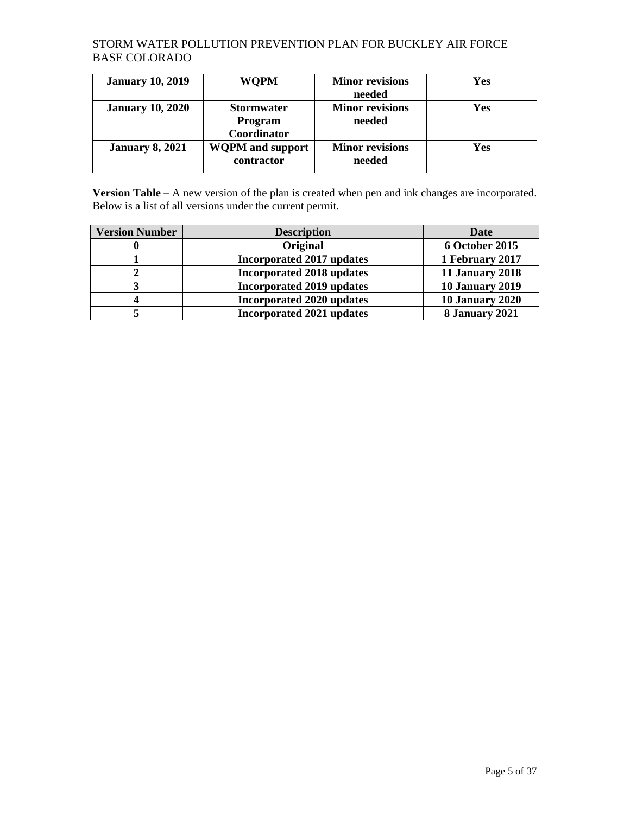| <b>January 10, 2019</b> | WOPM                                               | <b>Minor revisions</b><br>needed | Yes |
|-------------------------|----------------------------------------------------|----------------------------------|-----|
| <b>January 10, 2020</b> | <b>Stormwater</b><br><b>Program</b><br>Coordinator | <b>Minor revisions</b><br>needed | Yes |
| <b>January 8, 2021</b>  | <b>WQPM</b> and support<br>contractor              | <b>Minor revisions</b><br>needed | Yes |

**Version Table** – A new version of the plan is created when pen and ink changes are incorporated. Below is a list of all versions under the current permit.

| <b>Version Number</b> | <b>Description</b>               | <b>Date</b>            |
|-----------------------|----------------------------------|------------------------|
|                       | <b>Original</b>                  | 6 October 2015         |
|                       | <b>Incorporated 2017 updates</b> | 1 February 2017        |
|                       | <b>Incorporated 2018 updates</b> | <b>11 January 2018</b> |
|                       | <b>Incorporated 2019 updates</b> | <b>10 January 2019</b> |
|                       | <b>Incorporated 2020 updates</b> | 10 January 2020        |
|                       | <b>Incorporated 2021 updates</b> | 8 January 2021         |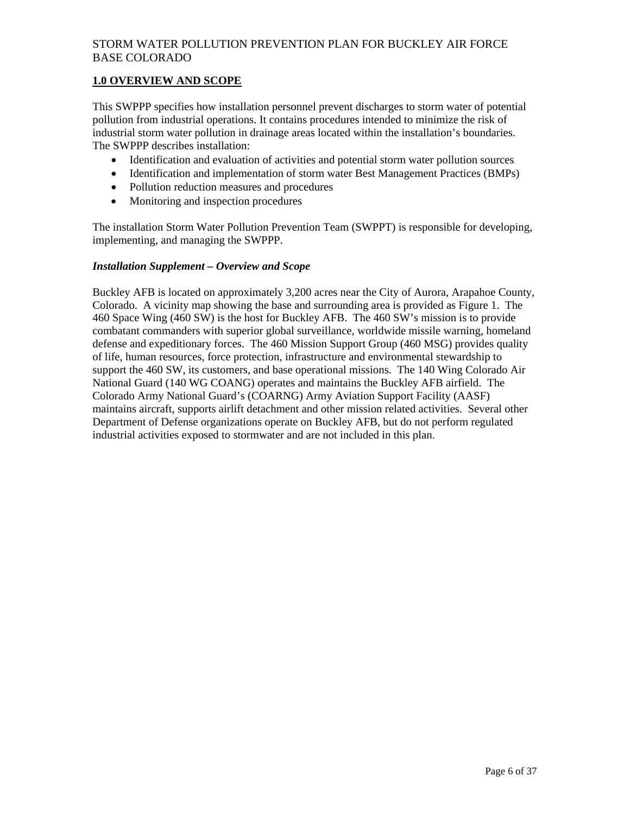### <span id="page-7-0"></span>**1.0 OVERVIEW AND SCOPE**

This SWPPP specifies how installation personnel prevent discharges to storm water of potential pollution from industrial operations. It contains procedures intended to minimize the risk of industrial storm water pollution in drainage areas located within the installation's boundaries. The SWPPP describes installation:

- Identification and evaluation of activities and potential storm water pollution sources
- Identification and implementation of storm water Best Management Practices (BMPs)
- Pollution reduction measures and procedures
- Monitoring and inspection procedures

The installation Storm Water Pollution Prevention Team (SWPPT) is responsible for developing, implementing, and managing the SWPPP.

#### *Installation Supplement – Overview and Scope*

Buckley AFB is located on approximately 3,200 acres near the City of Aurora, Arapahoe County, Colorado. A vicinity map showing the base and surrounding area is provided as Figure 1. The 460 Space Wing (460 SW) is the host for Buckley AFB. The 460 SW's mission is to provide combatant commanders with superior global surveillance, worldwide missile warning, homeland defense and expeditionary forces. The 460 Mission Support Group (460 MSG) provides quality of life, human resources, force protection, infrastructure and environmental stewardship to support the 460 SW, its customers, and base operational missions. The 140 Wing Colorado Air National Guard (140 WG COANG) operates and maintains the Buckley AFB airfield. The Colorado Army National Guard's (COARNG) Army Aviation Support Facility (AASF) maintains aircraft, supports airlift detachment and other mission related activities. Several other Department of Defense organizations operate on Buckley AFB, but do not perform regulated industrial activities exposed to stormwater and are not included in this plan.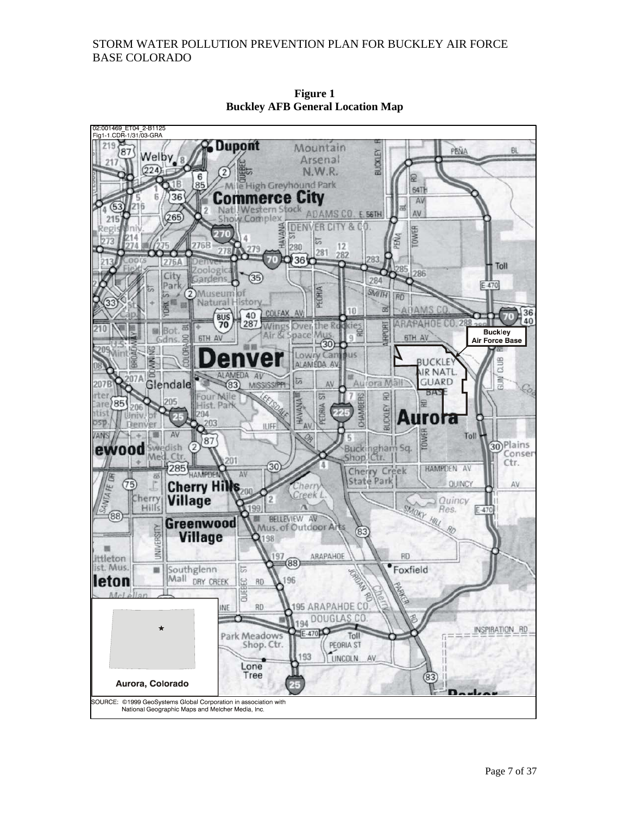

**Figure 1 Buckley AFB General Location Map**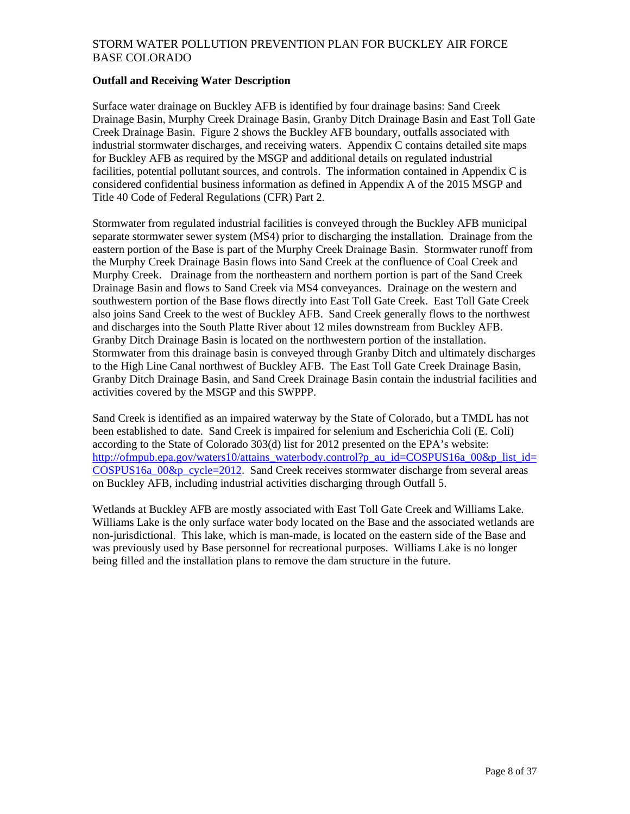#### **Outfall and Receiving Water Description**

Surface water drainage on Buckley AFB is identified by four drainage basins: Sand Creek Drainage Basin, Murphy Creek Drainage Basin, Granby Ditch Drainage Basin and East Toll Gate Creek Drainage Basin. Figure 2 shows the Buckley AFB boundary, outfalls associated with industrial stormwater discharges, and receiving waters. Appendix C contains detailed site maps for Buckley AFB as required by the MSGP and additional details on regulated industrial facilities, potential pollutant sources, and controls. The information contained in Appendix C is considered confidential business information as defined in Appendix A of the 2015 MSGP and Title 40 Code of Federal Regulations (CFR) Part 2.

Stormwater from regulated industrial facilities is conveyed through the Buckley AFB municipal separate stormwater sewer system (MS4) prior to discharging the installation. Drainage from the eastern portion of the Base is part of the Murphy Creek Drainage Basin. Stormwater runoff from the Murphy Creek Drainage Basin flows into Sand Creek at the confluence of Coal Creek and Murphy Creek. Drainage from the northeastern and northern portion is part of the Sand Creek Drainage Basin and flows to Sand Creek via MS4 conveyances. Drainage on the western and southwestern portion of the Base flows directly into East Toll Gate Creek. East Toll Gate Creek also joins Sand Creek to the west of Buckley AFB. Sand Creek generally flows to the northwest and discharges into the South Platte River about 12 miles downstream from Buckley AFB. Granby Ditch Drainage Basin is located on the northwestern portion of the installation. Stormwater from this drainage basin is conveyed through Granby Ditch and ultimately discharges to the High Line Canal northwest of Buckley AFB. The East Toll Gate Creek Drainage Basin, Granby Ditch Drainage Basin, and Sand Creek Drainage Basin contain the industrial facilities and activities covered by the MSGP and this SWPPP.

Sand Creek is identified as an impaired waterway by the State of Colorado, but a TMDL has not been established to date. Sand Creek is impaired for selenium and Escherichia Coli (E. Coli) according to the State of Colorado 303(d) list for 2012 presented on the EPA's website: [http://ofmpub.epa.gov/waters10/attains\\_waterbody.control?p\\_au\\_id=COSPUS16a\\_00&p\\_list\\_id=](http://ofmpub.epa.gov/waters10/attains_waterbody.control?p_au_id=COSPUS16a_00&p_list_id=COSPUS16a_00&p_cycle=2012) [COSPUS16a\\_00&p\\_cycle=2012.](http://ofmpub.epa.gov/waters10/attains_waterbody.control?p_au_id=COSPUS16a_00&p_list_id=COSPUS16a_00&p_cycle=2012) Sand Creek receives stormwater discharge from several areas on Buckley AFB, including industrial activities discharging through Outfall 5.

Wetlands at Buckley AFB are mostly associated with East Toll Gate Creek and Williams Lake. Williams Lake is the only surface water body located on the Base and the associated wetlands are non-jurisdictional. This lake, which is man-made, is located on the eastern side of the Base and was previously used by Base personnel for recreational purposes. Williams Lake is no longer being filled and the installation plans to remove the dam structure in the future.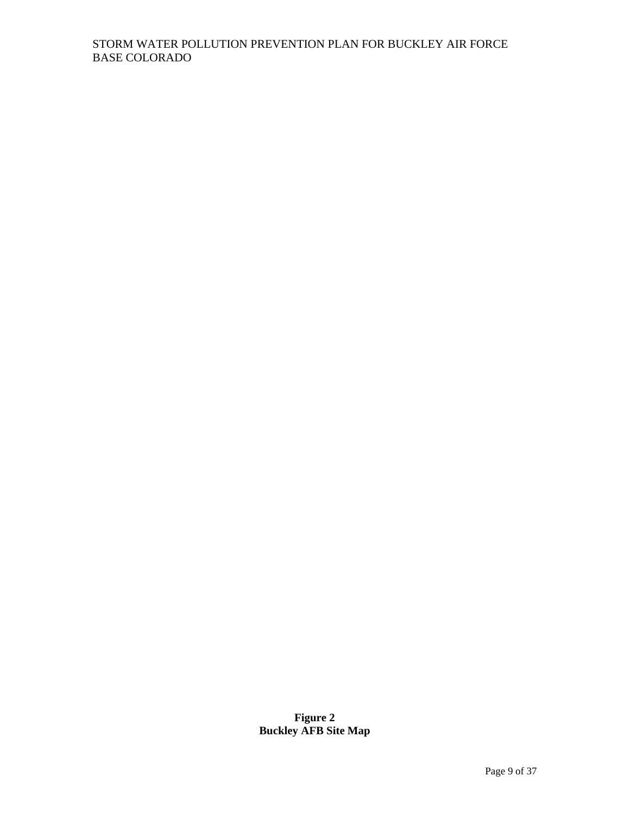#### **Figure 2 Buckley AFB Site Map**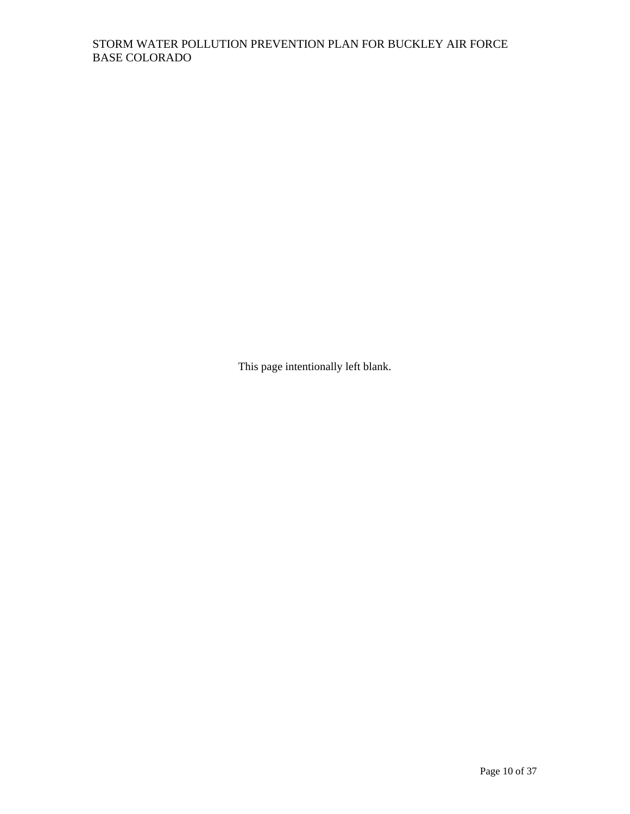This page intentionally left blank.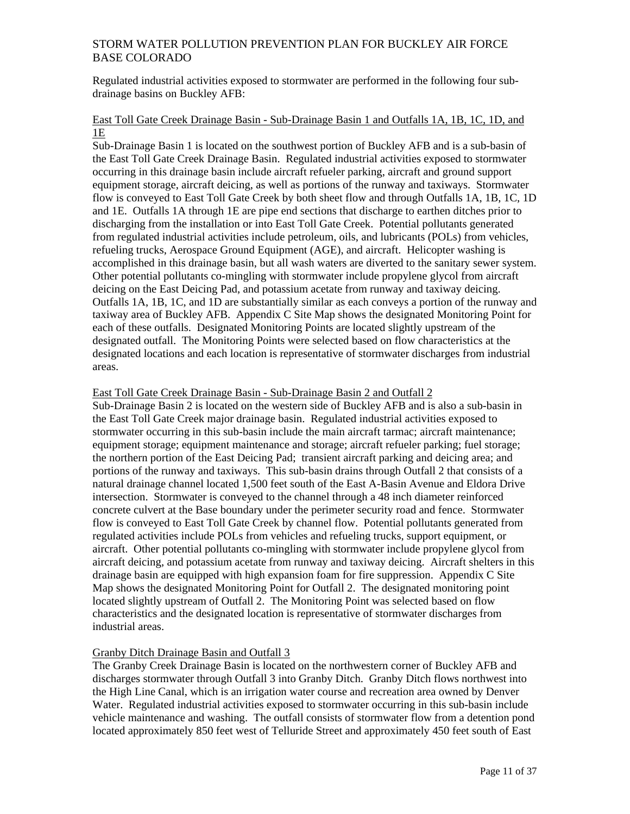Regulated industrial activities exposed to stormwater are performed in the following four subdrainage basins on Buckley AFB:

#### East Toll Gate Creek Drainage Basin - Sub-Drainage Basin 1 and Outfalls 1A, 1B, 1C, 1D, and  $1E$

Sub-Drainage Basin 1 is located on the southwest portion of Buckley AFB and is a sub-basin of the East Toll Gate Creek Drainage Basin. Regulated industrial activities exposed to stormwater occurring in this drainage basin include aircraft refueler parking, aircraft and ground support equipment storage, aircraft deicing, as well as portions of the runway and taxiways. Stormwater flow is conveyed to East Toll Gate Creek by both sheet flow and through Outfalls 1A, 1B, 1C, 1D and 1E. Outfalls 1A through 1E are pipe end sections that discharge to earthen ditches prior to discharging from the installation or into East Toll Gate Creek. Potential pollutants generated from regulated industrial activities include petroleum, oils, and lubricants (POLs) from vehicles, refueling trucks, Aerospace Ground Equipment (AGE), and aircraft. Helicopter washing is accomplished in this drainage basin, but all wash waters are diverted to the sanitary sewer system. Other potential pollutants co-mingling with stormwater include propylene glycol from aircraft deicing on the East Deicing Pad, and potassium acetate from runway and taxiway deicing. Outfalls 1A, 1B, 1C, and 1D are substantially similar as each conveys a portion of the runway and taxiway area of Buckley AFB. Appendix C Site Map shows the designated Monitoring Point for each of these outfalls. Designated Monitoring Points are located slightly upstream of the designated outfall. The Monitoring Points were selected based on flow characteristics at the designated locations and each location is representative of stormwater discharges from industrial areas.

#### East Toll Gate Creek Drainage Basin - Sub-Drainage Basin 2 and Outfall 2

Sub-Drainage Basin 2 is located on the western side of Buckley AFB and is also a sub-basin in the East Toll Gate Creek major drainage basin. Regulated industrial activities exposed to stormwater occurring in this sub-basin include the main aircraft tarmac; aircraft maintenance; equipment storage; equipment maintenance and storage; aircraft refueler parking; fuel storage; the northern portion of the East Deicing Pad; transient aircraft parking and deicing area; and portions of the runway and taxiways. This sub-basin drains through Outfall 2 that consists of a natural drainage channel located 1,500 feet south of the East A-Basin Avenue and Eldora Drive intersection. Stormwater is conveyed to the channel through a 48 inch diameter reinforced concrete culvert at the Base boundary under the perimeter security road and fence. Stormwater flow is conveyed to East Toll Gate Creek by channel flow. Potential pollutants generated from regulated activities include POLs from vehicles and refueling trucks, support equipment, or aircraft. Other potential pollutants co-mingling with stormwater include propylene glycol from aircraft deicing, and potassium acetate from runway and taxiway deicing. Aircraft shelters in this drainage basin are equipped with high expansion foam for fire suppression. Appendix C Site Map shows the designated Monitoring Point for Outfall 2. The designated monitoring point located slightly upstream of Outfall 2. The Monitoring Point was selected based on flow characteristics and the designated location is representative of stormwater discharges from industrial areas.

#### Granby Ditch Drainage Basin and Outfall 3

The Granby Creek Drainage Basin is located on the northwestern corner of Buckley AFB and discharges stormwater through Outfall 3 into Granby Ditch. Granby Ditch flows northwest into the High Line Canal, which is an irrigation water course and recreation area owned by Denver Water. Regulated industrial activities exposed to stormwater occurring in this sub-basin include vehicle maintenance and washing. The outfall consists of stormwater flow from a detention pond located approximately 850 feet west of Telluride Street and approximately 450 feet south of East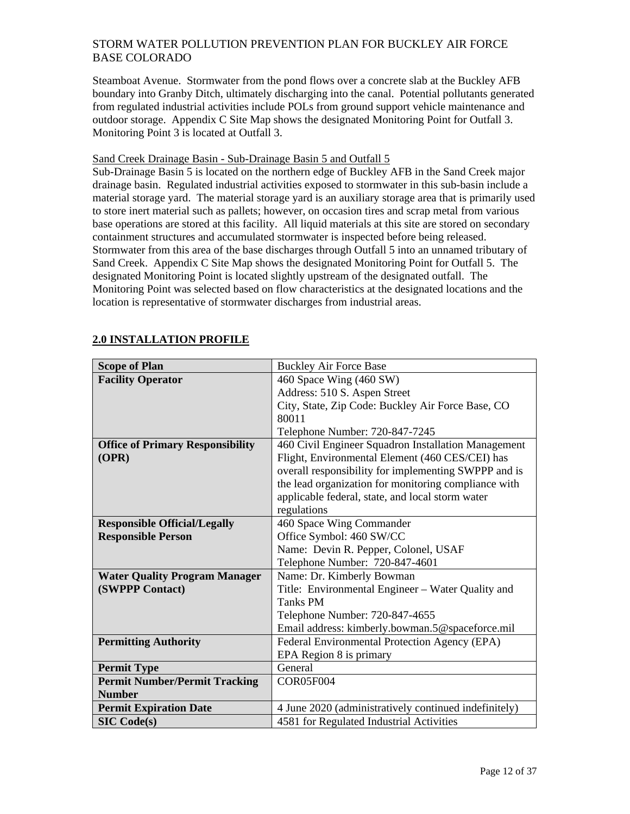Steamboat Avenue. Stormwater from the pond flows over a concrete slab at the Buckley AFB boundary into Granby Ditch, ultimately discharging into the canal. Potential pollutants generated from regulated industrial activities include POLs from ground support vehicle maintenance and outdoor storage. Appendix C Site Map shows the designated Monitoring Point for Outfall 3. Monitoring Point 3 is located at Outfall 3.

#### Sand Creek Drainage Basin - Sub-Drainage Basin 5 and Outfall 5

Sub-Drainage Basin 5 is located on the northern edge of Buckley AFB in the Sand Creek major drainage basin. Regulated industrial activities exposed to stormwater in this sub-basin include a material storage yard. The material storage yard is an auxiliary storage area that is primarily used to store inert material such as pallets; however, on occasion tires and scrap metal from various base operations are stored at this facility. All liquid materials at this site are stored on secondary containment structures and accumulated stormwater is inspected before being released. Stormwater from this area of the base discharges through Outfall 5 into an unnamed tributary of Sand Creek. Appendix C Site Map shows the designated Monitoring Point for Outfall 5. The designated Monitoring Point is located slightly upstream of the designated outfall. The Monitoring Point was selected based on flow characteristics at the designated locations and the location is representative of stormwater discharges from industrial areas.

| <b>Scope of Plan</b>                    | <b>Buckley Air Force Base</b>                         |
|-----------------------------------------|-------------------------------------------------------|
| <b>Facility Operator</b>                | 460 Space Wing (460 SW)                               |
|                                         | Address: 510 S. Aspen Street                          |
|                                         | City, State, Zip Code: Buckley Air Force Base, CO     |
|                                         | 80011                                                 |
|                                         | Telephone Number: 720-847-7245                        |
| <b>Office of Primary Responsibility</b> | 460 Civil Engineer Squadron Installation Management   |
| (OPR)                                   | Flight, Environmental Element (460 CES/CEI) has       |
|                                         | overall responsibility for implementing SWPPP and is  |
|                                         | the lead organization for monitoring compliance with  |
|                                         | applicable federal, state, and local storm water      |
|                                         | regulations                                           |
| <b>Responsible Official/Legally</b>     | 460 Space Wing Commander                              |
| <b>Responsible Person</b>               | Office Symbol: 460 SW/CC                              |
|                                         | Name: Devin R. Pepper, Colonel, USAF                  |
|                                         | Telephone Number: 720-847-4601                        |
| <b>Water Quality Program Manager</b>    | Name: Dr. Kimberly Bowman                             |
| (SWPPP Contact)                         | Title: Environmental Engineer – Water Quality and     |
|                                         | <b>Tanks PM</b>                                       |
|                                         | Telephone Number: 720-847-4655                        |
|                                         | Email address: kimberly.bowman.5@spaceforce.mil       |
| <b>Permitting Authority</b>             | Federal Environmental Protection Agency (EPA)         |
|                                         | EPA Region 8 is primary                               |
| <b>Permit Type</b>                      | General                                               |
| <b>Permit Number/Permit Tracking</b>    | <b>COR05F004</b>                                      |
| <b>Number</b>                           |                                                       |
| <b>Permit Expiration Date</b>           | 4 June 2020 (administratively continued indefinitely) |
| <b>SIC Code(s)</b>                      | 4581 for Regulated Industrial Activities              |

## <span id="page-13-0"></span>**2.0 INSTALLATION PROFILE**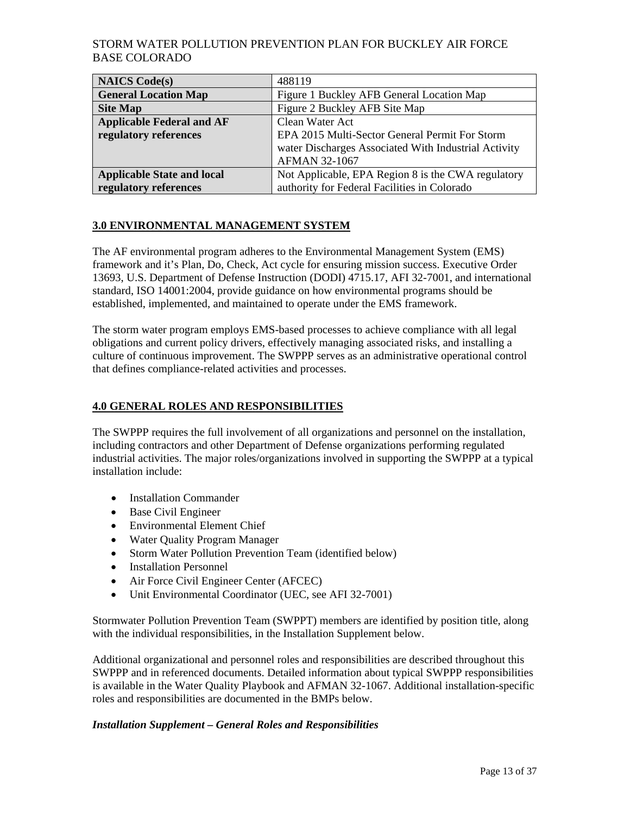| <b>NAICS</b> Code(s)                                                    | 488119                                               |
|-------------------------------------------------------------------------|------------------------------------------------------|
| <b>General Location Map</b>                                             | Figure 1 Buckley AFB General Location Map            |
| <b>Site Map</b>                                                         | Figure 2 Buckley AFB Site Map                        |
| <b>Applicable Federal and AF</b>                                        | Clean Water Act                                      |
| regulatory references<br>EPA 2015 Multi-Sector General Permit For Storm |                                                      |
|                                                                         | water Discharges Associated With Industrial Activity |
|                                                                         | AFMAN 32-1067                                        |
| <b>Applicable State and local</b>                                       | Not Applicable, EPA Region 8 is the CWA regulatory   |
| regulatory references                                                   | authority for Federal Facilities in Colorado         |

### <span id="page-14-0"></span>**3.0 ENVIRONMENTAL MANAGEMENT SYSTEM**

The AF environmental program adheres to the Environmental Management System (EMS) framework and it's Plan, Do, Check, Act cycle for ensuring mission success. Executive Order 13693, U.S. Department of Defense Instruction (DODI) 4715.17, AFI 32-7001, and international standard, ISO 14001:2004, provide guidance on how environmental programs should be established, implemented, and maintained to operate under the EMS framework.

The storm water program employs EMS-based processes to achieve compliance with all legal obligations and current policy drivers, effectively managing associated risks, and installing a culture of continuous improvement. The SWPPP serves as an administrative operational control that defines compliance-related activities and processes.

### <span id="page-14-1"></span>**4.0 GENERAL ROLES AND RESPONSIBILITIES**

The SWPPP requires the full involvement of all organizations and personnel on the installation, including contractors and other Department of Defense organizations performing regulated industrial activities. The major roles/organizations involved in supporting the SWPPP at a typical installation include:

- Installation Commander
- Base Civil Engineer
- Environmental Element Chief
- Water Quality Program Manager
- Storm Water Pollution Prevention Team (identified below)
- Installation Personnel
- Air Force Civil Engineer Center (AFCEC)
- Unit Environmental Coordinator (UEC, see AFI 32-7001)

Stormwater Pollution Prevention Team (SWPPT) members are identified by position title, along with the individual responsibilities, in the Installation Supplement below.

Additional organizational and personnel roles and responsibilities are described throughout this SWPPP and in referenced documents. Detailed information about typical SWPPP responsibilities is available in the Water Quality Playbook and AFMAN 32-1067. Additional installation-specific roles and responsibilities are documented in the BMPs below.

#### *Installation Supplement – General Roles and Responsibilities*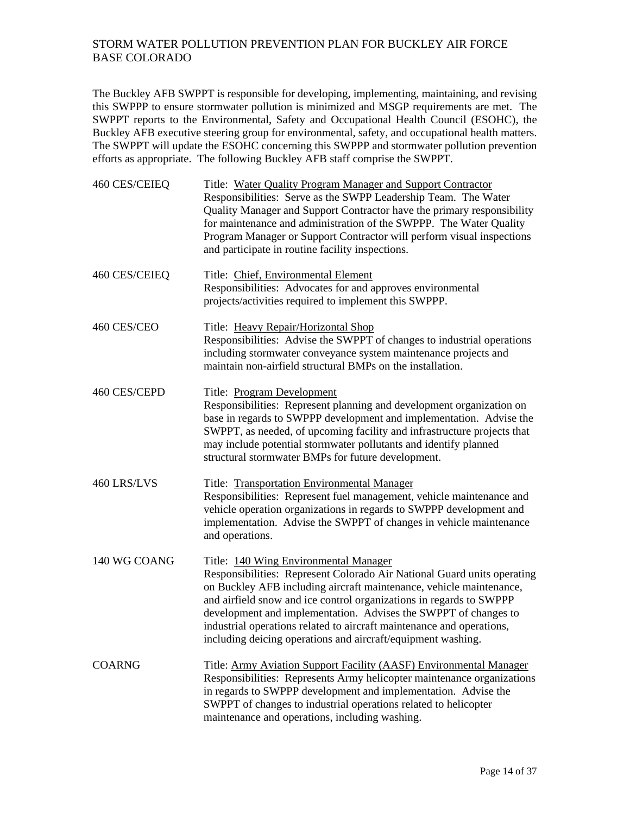The Buckley AFB SWPPT is responsible for developing, implementing, maintaining, and revising this SWPPP to ensure stormwater pollution is minimized and MSGP requirements are met. The SWPPT reports to the Environmental, Safety and Occupational Health Council (ESOHC), the Buckley AFB executive steering group for environmental, safety, and occupational health matters. The SWPPT will update the ESOHC concerning this SWPPP and stormwater pollution prevention efforts as appropriate. The following Buckley AFB staff comprise the SWPPT.

| 460 CES/CEIEQ | Title: Water Quality Program Manager and Support Contractor<br>Responsibilities: Serve as the SWPP Leadership Team. The Water<br>Quality Manager and Support Contractor have the primary responsibility<br>for maintenance and administration of the SWPPP. The Water Quality<br>Program Manager or Support Contractor will perform visual inspections<br>and participate in routine facility inspections.                                                                 |
|---------------|----------------------------------------------------------------------------------------------------------------------------------------------------------------------------------------------------------------------------------------------------------------------------------------------------------------------------------------------------------------------------------------------------------------------------------------------------------------------------|
| 460 CES/CEIEQ | Title: Chief, Environmental Element<br>Responsibilities: Advocates for and approves environmental<br>projects/activities required to implement this SWPPP.                                                                                                                                                                                                                                                                                                                 |
| 460 CES/CEO   | Title: Heavy Repair/Horizontal Shop<br>Responsibilities: Advise the SWPPT of changes to industrial operations<br>including stormwater conveyance system maintenance projects and<br>maintain non-airfield structural BMPs on the installation.                                                                                                                                                                                                                             |
| 460 CES/CEPD  | Title: Program Development<br>Responsibilities: Represent planning and development organization on<br>base in regards to SWPPP development and implementation. Advise the<br>SWPPT, as needed, of upcoming facility and infrastructure projects that<br>may include potential stormwater pollutants and identify planned<br>structural stormwater BMPs for future development.                                                                                             |
| 460 LRS/LVS   | Title: Transportation Environmental Manager<br>Responsibilities: Represent fuel management, vehicle maintenance and<br>vehicle operation organizations in regards to SWPPP development and<br>implementation. Advise the SWPPT of changes in vehicle maintenance<br>and operations.                                                                                                                                                                                        |
| 140 WG COANG  | Title: 140 Wing Environmental Manager<br>Responsibilities: Represent Colorado Air National Guard units operating<br>on Buckley AFB including aircraft maintenance, vehicle maintenance,<br>and airfield snow and ice control organizations in regards to SWPPP<br>development and implementation. Advises the SWPPT of changes to<br>industrial operations related to aircraft maintenance and operations,<br>including deicing operations and aircraft/equipment washing. |
| <b>COARNG</b> | Title: Army Aviation Support Facility (AASF) Environmental Manager<br>Responsibilities: Represents Army helicopter maintenance organizations<br>in regards to SWPPP development and implementation. Advise the<br>SWPPT of changes to industrial operations related to helicopter<br>maintenance and operations, including washing.                                                                                                                                        |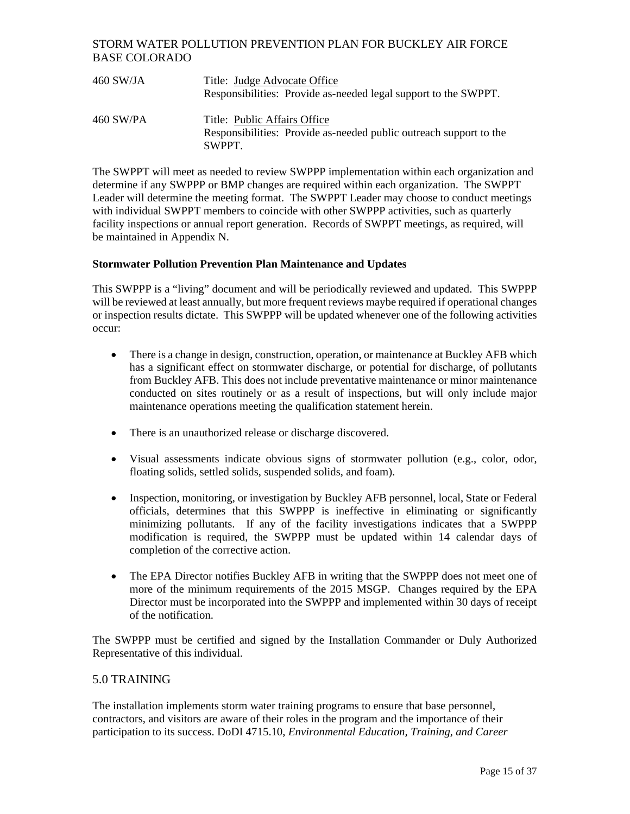| 460 SW/JA | Title: Judge Advocate Office<br>Responsibilities: Provide as-needed legal support to the SWPPT.              |
|-----------|--------------------------------------------------------------------------------------------------------------|
| 460 SW/PA | Title: Public Affairs Office<br>Responsibilities: Provide as-needed public outreach support to the<br>SWPPT. |

The SWPPT will meet as needed to review SWPPP implementation within each organization and determine if any SWPPP or BMP changes are required within each organization. The SWPPT Leader will determine the meeting format. The SWPPT Leader may choose to conduct meetings with individual SWPPT members to coincide with other SWPPP activities, such as quarterly facility inspections or annual report generation. Records of SWPPT meetings, as required, will be maintained in Appendix N.

#### **Stormwater Pollution Prevention Plan Maintenance and Updates**

This SWPPP is a "living" document and will be periodically reviewed and updated. This SWPPP will be reviewed at least annually, but more frequent reviews maybe required if operational changes or inspection results dictate. This SWPPP will be updated whenever one of the following activities occur:

- There is a change in design, construction, operation, or maintenance at Buckley AFB which has a significant effect on stormwater discharge, or potential for discharge, of pollutants from Buckley AFB. This does not include preventative maintenance or minor maintenance conducted on sites routinely or as a result of inspections, but will only include major maintenance operations meeting the qualification statement herein.
- There is an unauthorized release or discharge discovered.
- Visual assessments indicate obvious signs of stormwater pollution (e.g., color, odor, floating solids, settled solids, suspended solids, and foam).
- Inspection, monitoring, or investigation by Buckley AFB personnel, local, State or Federal officials, determines that this SWPPP is ineffective in eliminating or significantly minimizing pollutants. If any of the facility investigations indicates that a SWPPP modification is required, the SWPPP must be updated within 14 calendar days of completion of the corrective action.
- The EPA Director notifies Buckley AFB in writing that the SWPPP does not meet one of more of the minimum requirements of the 2015 MSGP. Changes required by the EPA Director must be incorporated into the SWPPP and implemented within 30 days of receipt of the notification.

The SWPPP must be certified and signed by the Installation Commander or Duly Authorized Representative of this individual.

### <span id="page-16-0"></span>5.0 TRAINING

The installation implements storm water training programs to ensure that base personnel, contractors, and visitors are aware of their roles in the program and the importance of their participation to its success. DoDI 4715.10, *Environmental Education, Training, and Career*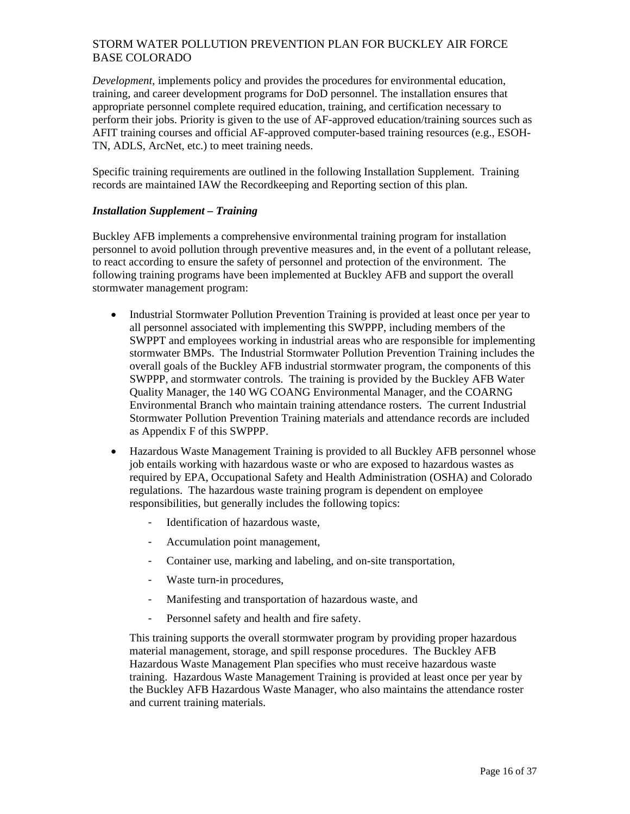*Development*, implements policy and provides the procedures for environmental education, training, and career development programs for DoD personnel. The installation ensures that appropriate personnel complete required education, training, and certification necessary to perform their jobs. Priority is given to the use of AF-approved education/training sources such as AFIT training courses and official AF-approved computer-based training resources (e.g., ESOH-TN, ADLS, ArcNet, etc.) to meet training needs.

Specific training requirements are outlined in the following Installation Supplement. Training records are maintained IAW the Recordkeeping and Reporting section of this plan.

#### *Installation Supplement – Training*

Buckley AFB implements a comprehensive environmental training program for installation personnel to avoid pollution through preventive measures and, in the event of a pollutant release, to react according to ensure the safety of personnel and protection of the environment. The following training programs have been implemented at Buckley AFB and support the overall stormwater management program:

- Industrial Stormwater Pollution Prevention Training is provided at least once per year to all personnel associated with implementing this SWPPP, including members of the SWPPT and employees working in industrial areas who are responsible for implementing stormwater BMPs. The Industrial Stormwater Pollution Prevention Training includes the overall goals of the Buckley AFB industrial stormwater program, the components of this SWPPP, and stormwater controls. The training is provided by the Buckley AFB Water Quality Manager, the 140 WG COANG Environmental Manager, and the COARNG Environmental Branch who maintain training attendance rosters. The current Industrial Stormwater Pollution Prevention Training materials and attendance records are included as Appendix F of this SWPPP.
- Hazardous Waste Management Training is provided to all Buckley AFB personnel whose job entails working with hazardous waste or who are exposed to hazardous wastes as required by EPA, Occupational Safety and Health Administration (OSHA) and Colorado regulations. The hazardous waste training program is dependent on employee responsibilities, but generally includes the following topics:
	- Identification of hazardous waste,
	- Accumulation point management,
	- Container use, marking and labeling, and on-site transportation,
	- Waste turn-in procedures,
	- Manifesting and transportation of hazardous waste, and
	- Personnel safety and health and fire safety.

This training supports the overall stormwater program by providing proper hazardous material management, storage, and spill response procedures. The Buckley AFB Hazardous Waste Management Plan specifies who must receive hazardous waste training. Hazardous Waste Management Training is provided at least once per year by the Buckley AFB Hazardous Waste Manager, who also maintains the attendance roster and current training materials.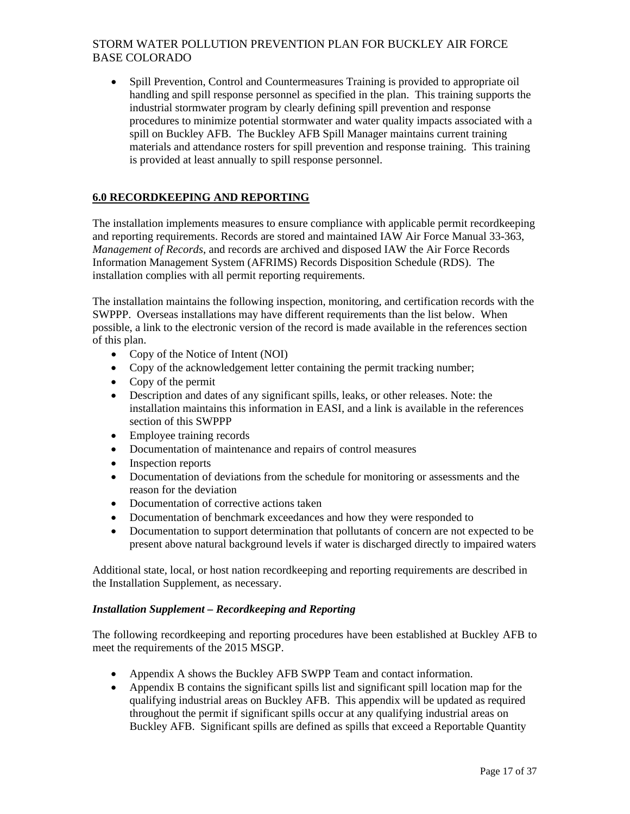• Spill Prevention, Control and Countermeasures Training is provided to appropriate oil handling and spill response personnel as specified in the plan. This training supports the industrial stormwater program by clearly defining spill prevention and response procedures to minimize potential stormwater and water quality impacts associated with a spill on Buckley AFB. The Buckley AFB Spill Manager maintains current training materials and attendance rosters for spill prevention and response training. This training is provided at least annually to spill response personnel.

## <span id="page-18-0"></span>**6.0 RECORDKEEPING AND REPORTING**

The installation implements measures to ensure compliance with applicable permit recordkeeping and reporting requirements. Records are stored and maintained IAW Air Force Manual 33-363, *Management of Records*, and records are archived and disposed IAW the Air Force Records Information Management System (AFRIMS) Records Disposition Schedule (RDS). The installation complies with all permit reporting requirements.

The installation maintains the following inspection, monitoring, and certification records with the SWPPP. Overseas installations may have different requirements than the list below. When possible, a link to the electronic version of the record is made available in the references section of this plan.

- Copy of the Notice of Intent (NOI)
- Copy of the acknowledgement letter containing the permit tracking number;
- Copy of the permit
- Description and dates of any significant spills, leaks, or other releases. Note: the installation maintains this information in EASI, and a link is available in the references section of this SWPPP
- Employee training records
- Documentation of maintenance and repairs of control measures
- Inspection reports
- Documentation of deviations from the schedule for monitoring or assessments and the reason for the deviation
- Documentation of corrective actions taken
- Documentation of benchmark exceedances and how they were responded to
- Documentation to support determination that pollutants of concern are not expected to be present above natural background levels if water is discharged directly to impaired waters

Additional state, local, or host nation recordkeeping and reporting requirements are described in the Installation Supplement, as necessary.

#### *Installation Supplement – Recordkeeping and Reporting*

The following recordkeeping and reporting procedures have been established at Buckley AFB to meet the requirements of the 2015 MSGP.

- Appendix A shows the Buckley AFB SWPP Team and contact information.
- Appendix B contains the significant spills list and significant spill location map for the qualifying industrial areas on Buckley AFB. This appendix will be updated as required throughout the permit if significant spills occur at any qualifying industrial areas on Buckley AFB. Significant spills are defined as spills that exceed a Reportable Quantity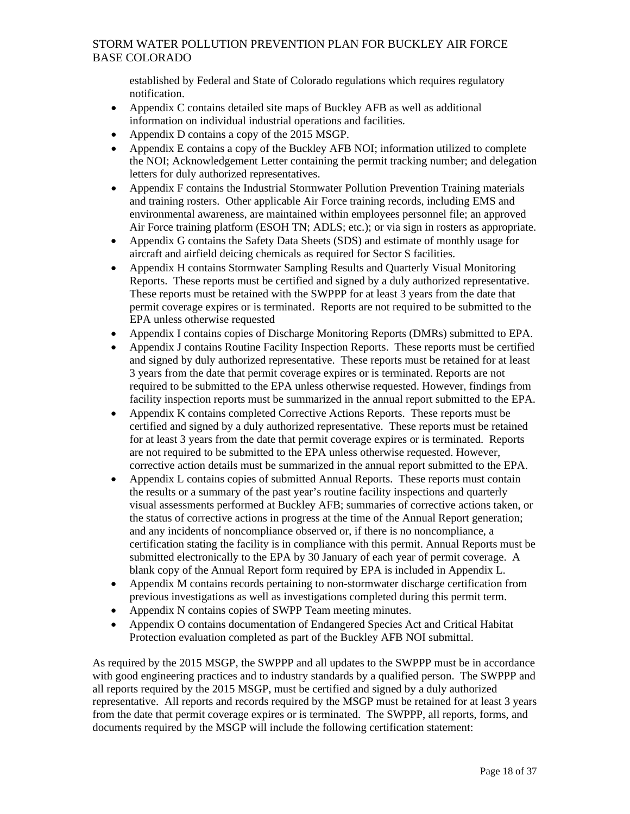established by Federal and State of Colorado regulations which requires regulatory notification.

- Appendix C contains detailed site maps of Buckley AFB as well as additional information on individual industrial operations and facilities.
- Appendix D contains a copy of the 2015 MSGP.
- Appendix E contains a copy of the Buckley AFB NOI; information utilized to complete the NOI; Acknowledgement Letter containing the permit tracking number; and delegation letters for duly authorized representatives.
- Appendix F contains the Industrial Stormwater Pollution Prevention Training materials and training rosters. Other applicable Air Force training records, including EMS and environmental awareness, are maintained within employees personnel file; an approved Air Force training platform (ESOH TN; ADLS; etc.); or via sign in rosters as appropriate.
- Appendix G contains the Safety Data Sheets (SDS) and estimate of monthly usage for aircraft and airfield deicing chemicals as required for Sector S facilities.
- Appendix H contains Stormwater Sampling Results and Quarterly Visual Monitoring Reports. These reports must be certified and signed by a duly authorized representative. These reports must be retained with the SWPPP for at least 3 years from the date that permit coverage expires or is terminated. Reports are not required to be submitted to the EPA unless otherwise requested
- Appendix I contains copies of Discharge Monitoring Reports (DMRs) submitted to EPA.
- Appendix J contains Routine Facility Inspection Reports. These reports must be certified and signed by duly authorized representative. These reports must be retained for at least 3 years from the date that permit coverage expires or is terminated. Reports are not required to be submitted to the EPA unless otherwise requested. However, findings from facility inspection reports must be summarized in the annual report submitted to the EPA.
- Appendix K contains completed Corrective Actions Reports. These reports must be certified and signed by a duly authorized representative. These reports must be retained for at least 3 years from the date that permit coverage expires or is terminated. Reports are not required to be submitted to the EPA unless otherwise requested. However, corrective action details must be summarized in the annual report submitted to the EPA.
- Appendix L contains copies of submitted Annual Reports. These reports must contain the results or a summary of the past year's routine facility inspections and quarterly visual assessments performed at Buckley AFB; summaries of corrective actions taken, or the status of corrective actions in progress at the time of the Annual Report generation; and any incidents of noncompliance observed or, if there is no noncompliance, a certification stating the facility is in compliance with this permit. Annual Reports must be submitted electronically to the EPA by 30 January of each year of permit coverage. A blank copy of the Annual Report form required by EPA is included in Appendix L.
- Appendix M contains records pertaining to non-stormwater discharge certification from previous investigations as well as investigations completed during this permit term.
- Appendix N contains copies of SWPP Team meeting minutes.
- Appendix O contains documentation of Endangered Species Act and Critical Habitat Protection evaluation completed as part of the Buckley AFB NOI submittal.

As required by the 2015 MSGP, the SWPPP and all updates to the SWPPP must be in accordance with good engineering practices and to industry standards by a qualified person. The SWPPP and all reports required by the 2015 MSGP, must be certified and signed by a duly authorized representative. All reports and records required by the MSGP must be retained for at least 3 years from the date that permit coverage expires or is terminated. The SWPPP, all reports, forms, and documents required by the MSGP will include the following certification statement: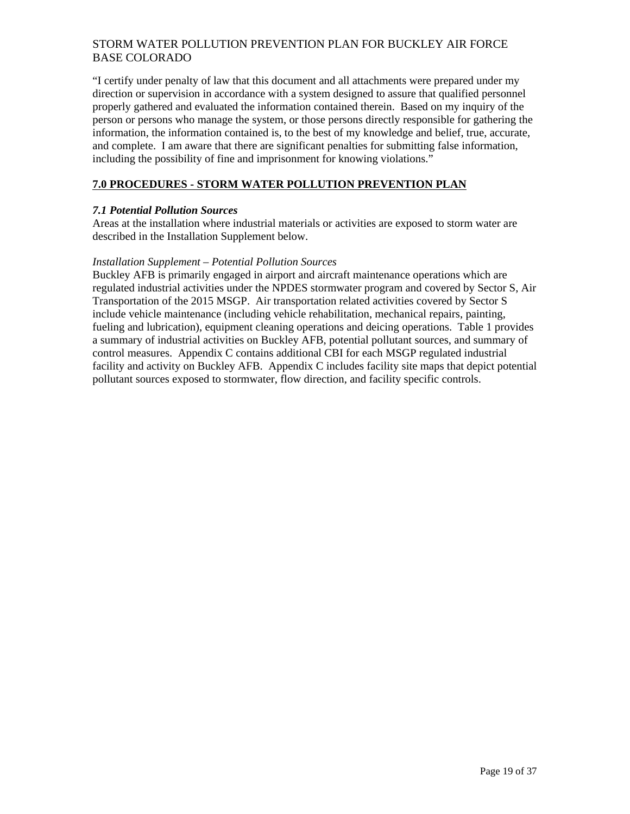"I certify under penalty of law that this document and all attachments were prepared under my direction or supervision in accordance with a system designed to assure that qualified personnel properly gathered and evaluated the information contained therein. Based on my inquiry of the person or persons who manage the system, or those persons directly responsible for gathering the information, the information contained is, to the best of my knowledge and belief, true, accurate, and complete. I am aware that there are significant penalties for submitting false information, including the possibility of fine and imprisonment for knowing violations."

### <span id="page-20-1"></span><span id="page-20-0"></span>**7.0 PROCEDURES - STORM WATER POLLUTION PREVENTION PLAN**

#### *7.1 Potential Pollution Sources*

Areas at the installation where industrial materials or activities are exposed to storm water are described in the Installation Supplement below.

#### *Installation Supplement – Potential Pollution Sources*

Buckley AFB is primarily engaged in airport and aircraft maintenance operations which are regulated industrial activities under the NPDES stormwater program and covered by Sector S, Air Transportation of the 2015 MSGP. Air transportation related activities covered by Sector S include vehicle maintenance (including vehicle rehabilitation, mechanical repairs, painting, fueling and lubrication), equipment cleaning operations and deicing operations. Table 1 provides a summary of industrial activities on Buckley AFB, potential pollutant sources, and summary of control measures. Appendix C contains additional CBI for each MSGP regulated industrial facility and activity on Buckley AFB. Appendix C includes facility site maps that depict potential pollutant sources exposed to stormwater, flow direction, and facility specific controls.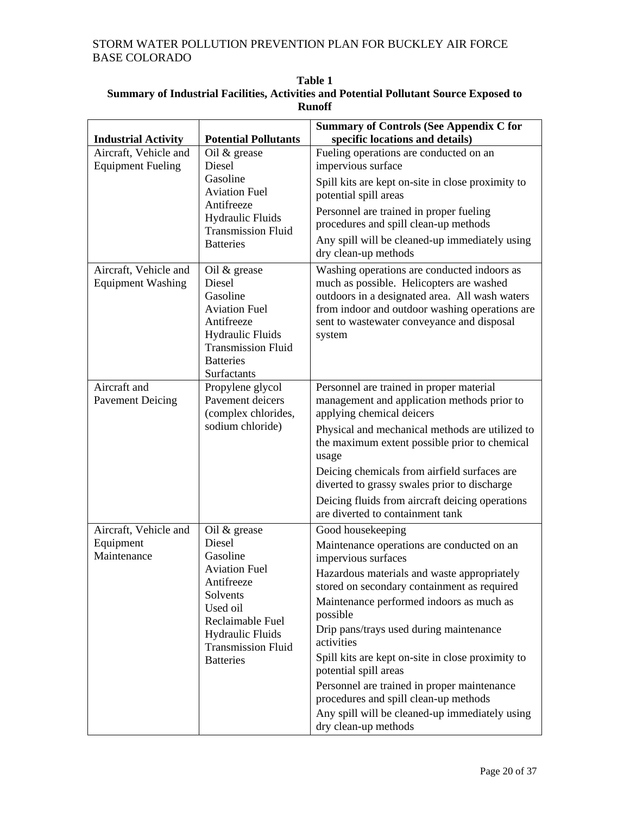| Table 1                                                                                       |  |  |  |
|-----------------------------------------------------------------------------------------------|--|--|--|
| <b>Summary of Industrial Facilities, Activities and Potential Pollutant Source Exposed to</b> |  |  |  |
| <b>Runoff</b>                                                                                 |  |  |  |

| <b>Industrial Activity</b>                        | <b>Potential Pollutants</b>                                                                                                                                                                        | <b>Summary of Controls (See Appendix C for</b><br>specific locations and details)                                                                                                                                                                                                                                                                                                                                                                                                                                                                     |
|---------------------------------------------------|----------------------------------------------------------------------------------------------------------------------------------------------------------------------------------------------------|-------------------------------------------------------------------------------------------------------------------------------------------------------------------------------------------------------------------------------------------------------------------------------------------------------------------------------------------------------------------------------------------------------------------------------------------------------------------------------------------------------------------------------------------------------|
| Aircraft, Vehicle and<br><b>Equipment Fueling</b> | Oil & grease<br>Diesel                                                                                                                                                                             | Fueling operations are conducted on an<br>impervious surface                                                                                                                                                                                                                                                                                                                                                                                                                                                                                          |
|                                                   | Gasoline<br><b>Aviation Fuel</b>                                                                                                                                                                   | Spill kits are kept on-site in close proximity to<br>potential spill areas                                                                                                                                                                                                                                                                                                                                                                                                                                                                            |
|                                                   | Antifreeze<br><b>Hydraulic Fluids</b><br><b>Transmission Fluid</b>                                                                                                                                 | Personnel are trained in proper fueling<br>procedures and spill clean-up methods                                                                                                                                                                                                                                                                                                                                                                                                                                                                      |
|                                                   | <b>Batteries</b>                                                                                                                                                                                   | Any spill will be cleaned-up immediately using<br>dry clean-up methods                                                                                                                                                                                                                                                                                                                                                                                                                                                                                |
| Aircraft, Vehicle and<br><b>Equipment Washing</b> | Oil $&$ grease<br>Diesel<br>Gasoline<br><b>Aviation Fuel</b><br>Antifreeze<br><b>Hydraulic Fluids</b><br><b>Transmission Fluid</b><br><b>Batteries</b><br>Surfactants                              | Washing operations are conducted indoors as<br>much as possible. Helicopters are washed<br>outdoors in a designated area. All wash waters<br>from indoor and outdoor washing operations are<br>sent to wastewater conveyance and disposal<br>system                                                                                                                                                                                                                                                                                                   |
| Aircraft and<br><b>Pavement Deicing</b>           | Propylene glycol<br>Payement deicers<br>(complex chlorides,<br>sodium chloride)                                                                                                                    | Personnel are trained in proper material<br>management and application methods prior to<br>applying chemical deicers<br>Physical and mechanical methods are utilized to<br>the maximum extent possible prior to chemical<br>usage<br>Deicing chemicals from airfield surfaces are<br>diverted to grassy swales prior to discharge<br>Deicing fluids from aircraft deicing operations<br>are diverted to containment tank                                                                                                                              |
| Aircraft, Vehicle and<br>Equipment<br>Maintenance | Oil $&$ grease<br>Diesel<br>Gasoline<br><b>Aviation Fuel</b><br>Antifreeze<br>Solvents<br>Used oil<br>Reclaimable Fuel<br><b>Hydraulic Fluids</b><br><b>Transmission Fluid</b><br><b>Batteries</b> | Good housekeeping<br>Maintenance operations are conducted on an<br>impervious surfaces<br>Hazardous materials and waste appropriately<br>stored on secondary containment as required<br>Maintenance performed indoors as much as<br>possible<br>Drip pans/trays used during maintenance<br>activities<br>Spill kits are kept on-site in close proximity to<br>potential spill areas<br>Personnel are trained in proper maintenance<br>procedures and spill clean-up methods<br>Any spill will be cleaned-up immediately using<br>dry clean-up methods |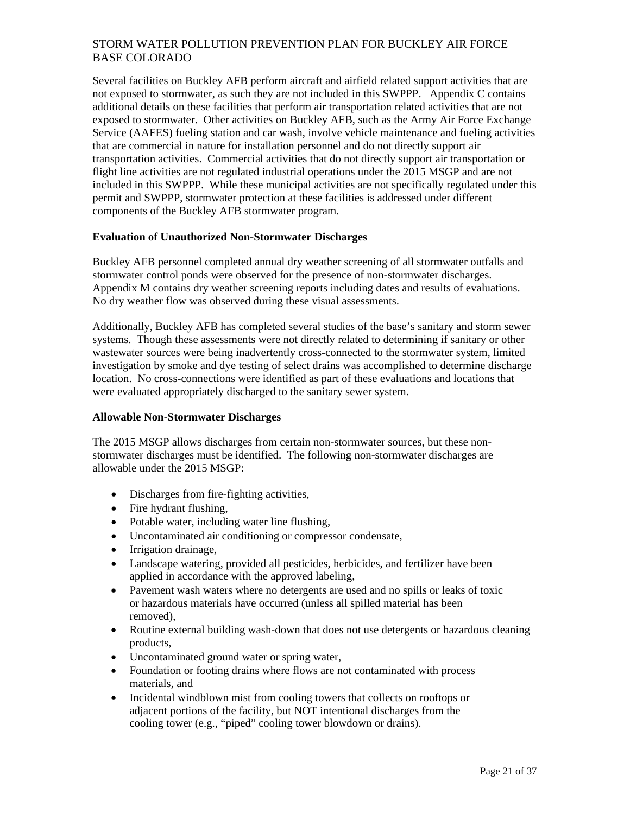Several facilities on Buckley AFB perform aircraft and airfield related support activities that are not exposed to stormwater, as such they are not included in this SWPPP. Appendix C contains additional details on these facilities that perform air transportation related activities that are not exposed to stormwater. Other activities on Buckley AFB, such as the Army Air Force Exchange Service (AAFES) fueling station and car wash, involve vehicle maintenance and fueling activities that are commercial in nature for installation personnel and do not directly support air transportation activities. Commercial activities that do not directly support air transportation or flight line activities are not regulated industrial operations under the 2015 MSGP and are not included in this SWPPP. While these municipal activities are not specifically regulated under this permit and SWPPP, stormwater protection at these facilities is addressed under different components of the Buckley AFB stormwater program.

#### **Evaluation of Unauthorized Non-Stormwater Discharges**

Buckley AFB personnel completed annual dry weather screening of all stormwater outfalls and stormwater control ponds were observed for the presence of non-stormwater discharges. Appendix M contains dry weather screening reports including dates and results of evaluations. No dry weather flow was observed during these visual assessments.

Additionally, Buckley AFB has completed several studies of the base's sanitary and storm sewer systems. Though these assessments were not directly related to determining if sanitary or other wastewater sources were being inadvertently cross-connected to the stormwater system, limited investigation by smoke and dye testing of select drains was accomplished to determine discharge location. No cross-connections were identified as part of these evaluations and locations that were evaluated appropriately discharged to the sanitary sewer system.

#### **Allowable Non-Stormwater Discharges**

The 2015 MSGP allows discharges from certain non-stormwater sources, but these nonstormwater discharges must be identified. The following non-stormwater discharges are allowable under the 2015 MSGP:

- Discharges from fire-fighting activities,
- Fire hydrant flushing,
- Potable water, including water line flushing,
- Uncontaminated air conditioning or compressor condensate,
- Irrigation drainage,
- Landscape watering, provided all pesticides, herbicides, and fertilizer have been applied in accordance with the approved labeling,
- Pavement wash waters where no detergents are used and no spills or leaks of toxic or hazardous materials have occurred (unless all spilled material has been removed),
- Routine external building wash-down that does not use detergents or hazardous cleaning products,
- Uncontaminated ground water or spring water,
- Foundation or footing drains where flows are not contaminated with process materials, and
- Incidental windblown mist from cooling towers that collects on rooftops or adjacent portions of the facility, but NOT intentional discharges from the cooling tower (e.g., "piped" cooling tower blowdown or drains).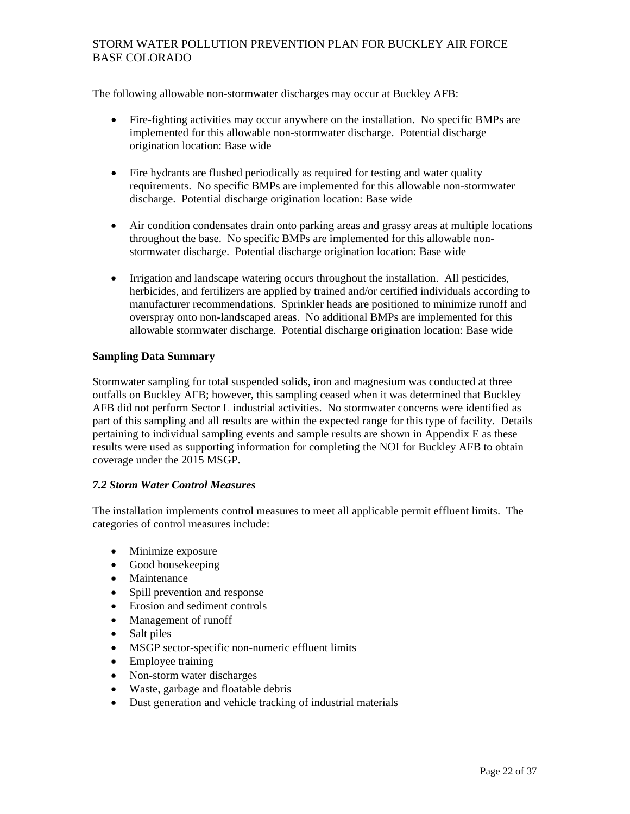The following allowable non-stormwater discharges may occur at Buckley AFB:

- Fire-fighting activities may occur anywhere on the installation. No specific BMPs are implemented for this allowable non-stormwater discharge. Potential discharge origination location: Base wide
- Fire hydrants are flushed periodically as required for testing and water quality requirements. No specific BMPs are implemented for this allowable non-stormwater discharge. Potential discharge origination location: Base wide
- Air condition condensates drain onto parking areas and grassy areas at multiple locations throughout the base. No specific BMPs are implemented for this allowable nonstormwater discharge. Potential discharge origination location: Base wide
- Irrigation and landscape watering occurs throughout the installation. All pesticides, herbicides, and fertilizers are applied by trained and/or certified individuals according to manufacturer recommendations. Sprinkler heads are positioned to minimize runoff and overspray onto non-landscaped areas. No additional BMPs are implemented for this allowable stormwater discharge. Potential discharge origination location: Base wide

### **Sampling Data Summary**

Stormwater sampling for total suspended solids, iron and magnesium was conducted at three outfalls on Buckley AFB; however, this sampling ceased when it was determined that Buckley AFB did not perform Sector L industrial activities. No stormwater concerns were identified as part of this sampling and all results are within the expected range for this type of facility. Details pertaining to individual sampling events and sample results are shown in Appendix E as these results were used as supporting information for completing the NOI for Buckley AFB to obtain coverage under the 2015 MSGP.

#### <span id="page-23-0"></span>*7.2 Storm Water Control Measures*

The installation implements control measures to meet all applicable permit effluent limits. The categories of control measures include:

- Minimize exposure
- Good housekeeping
- Maintenance
- Spill prevention and response
- Erosion and sediment controls
- Management of runoff
- Salt piles
- MSGP sector-specific non-numeric effluent limits
- Employee training
- Non-storm water discharges
- Waste, garbage and floatable debris
- Dust generation and vehicle tracking of industrial materials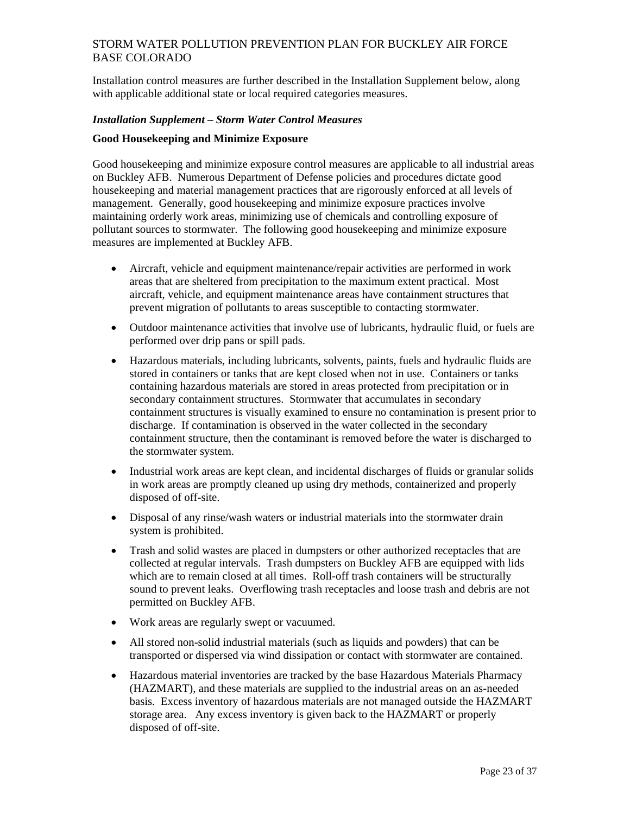Installation control measures are further described in the Installation Supplement below, along with applicable additional state or local required categories measures.

#### *Installation Supplement – Storm Water Control Measures*

#### **Good Housekeeping and Minimize Exposure**

Good housekeeping and minimize exposure control measures are applicable to all industrial areas on Buckley AFB. Numerous Department of Defense policies and procedures dictate good housekeeping and material management practices that are rigorously enforced at all levels of management. Generally, good housekeeping and minimize exposure practices involve maintaining orderly work areas, minimizing use of chemicals and controlling exposure of pollutant sources to stormwater. The following good housekeeping and minimize exposure measures are implemented at Buckley AFB.

- Aircraft, vehicle and equipment maintenance/repair activities are performed in work areas that are sheltered from precipitation to the maximum extent practical. Most aircraft, vehicle, and equipment maintenance areas have containment structures that prevent migration of pollutants to areas susceptible to contacting stormwater.
- Outdoor maintenance activities that involve use of lubricants, hydraulic fluid, or fuels are performed over drip pans or spill pads.
- Hazardous materials, including lubricants, solvents, paints, fuels and hydraulic fluids are stored in containers or tanks that are kept closed when not in use. Containers or tanks containing hazardous materials are stored in areas protected from precipitation or in secondary containment structures. Stormwater that accumulates in secondary containment structures is visually examined to ensure no contamination is present prior to discharge. If contamination is observed in the water collected in the secondary containment structure, then the contaminant is removed before the water is discharged to the stormwater system.
- Industrial work areas are kept clean, and incidental discharges of fluids or granular solids in work areas are promptly cleaned up using dry methods, containerized and properly disposed of off-site.
- Disposal of any rinse/wash waters or industrial materials into the stormwater drain system is prohibited.
- Trash and solid wastes are placed in dumpsters or other authorized receptacles that are collected at regular intervals. Trash dumpsters on Buckley AFB are equipped with lids which are to remain closed at all times. Roll-off trash containers will be structurally sound to prevent leaks. Overflowing trash receptacles and loose trash and debris are not permitted on Buckley AFB.
- Work areas are regularly swept or vacuumed.
- All stored non-solid industrial materials (such as liquids and powders) that can be transported or dispersed via wind dissipation or contact with stormwater are contained.
- Hazardous material inventories are tracked by the base Hazardous Materials Pharmacy (HAZMART), and these materials are supplied to the industrial areas on an as-needed basis. Excess inventory of hazardous materials are not managed outside the HAZMART storage area. Any excess inventory is given back to the HAZMART or properly disposed of off-site.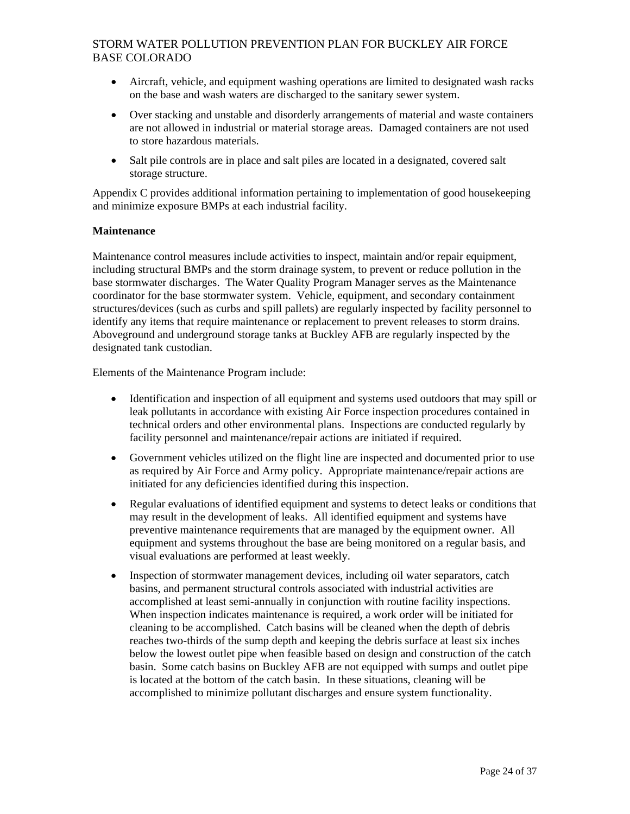- Aircraft, vehicle, and equipment washing operations are limited to designated wash racks on the base and wash waters are discharged to the sanitary sewer system.
- Over stacking and unstable and disorderly arrangements of material and waste containers are not allowed in industrial or material storage areas. Damaged containers are not used to store hazardous materials.
- Salt pile controls are in place and salt piles are located in a designated, covered salt storage structure.

Appendix C provides additional information pertaining to implementation of good housekeeping and minimize exposure BMPs at each industrial facility.

#### **Maintenance**

Maintenance control measures include activities to inspect, maintain and/or repair equipment, including structural BMPs and the storm drainage system, to prevent or reduce pollution in the base stormwater discharges. The Water Quality Program Manager serves as the Maintenance coordinator for the base stormwater system. Vehicle, equipment, and secondary containment structures/devices (such as curbs and spill pallets) are regularly inspected by facility personnel to identify any items that require maintenance or replacement to prevent releases to storm drains. Aboveground and underground storage tanks at Buckley AFB are regularly inspected by the designated tank custodian.

Elements of the Maintenance Program include:

- Identification and inspection of all equipment and systems used outdoors that may spill or leak pollutants in accordance with existing Air Force inspection procedures contained in technical orders and other environmental plans. Inspections are conducted regularly by facility personnel and maintenance/repair actions are initiated if required.
- Government vehicles utilized on the flight line are inspected and documented prior to use as required by Air Force and Army policy. Appropriate maintenance/repair actions are initiated for any deficiencies identified during this inspection.
- Regular evaluations of identified equipment and systems to detect leaks or conditions that may result in the development of leaks. All identified equipment and systems have preventive maintenance requirements that are managed by the equipment owner. All equipment and systems throughout the base are being monitored on a regular basis, and visual evaluations are performed at least weekly.
- Inspection of stormwater management devices, including oil water separators, catch basins, and permanent structural controls associated with industrial activities are accomplished at least semi-annually in conjunction with routine facility inspections. When inspection indicates maintenance is required, a work order will be initiated for cleaning to be accomplished. Catch basins will be cleaned when the depth of debris reaches two-thirds of the sump depth and keeping the debris surface at least six inches below the lowest outlet pipe when feasible based on design and construction of the catch basin. Some catch basins on Buckley AFB are not equipped with sumps and outlet pipe is located at the bottom of the catch basin. In these situations, cleaning will be accomplished to minimize pollutant discharges and ensure system functionality.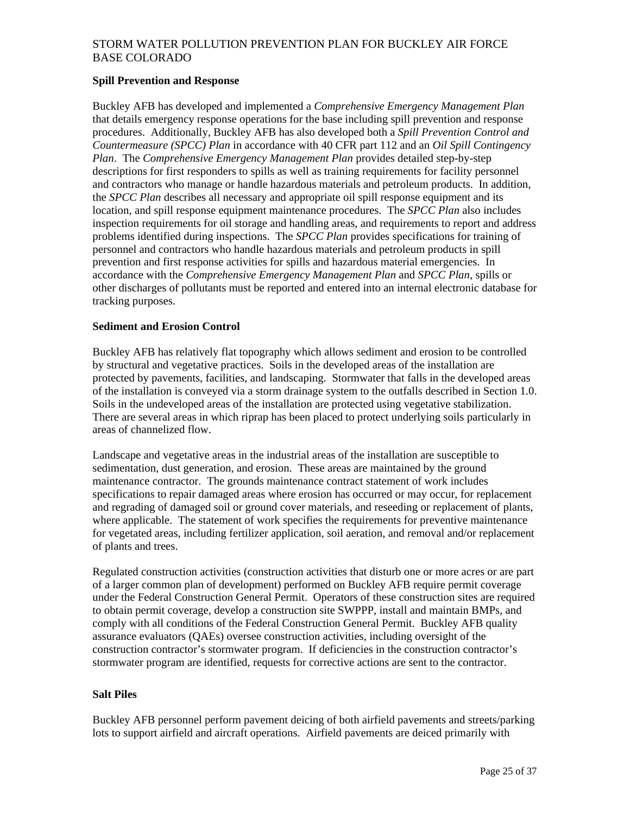### **Spill Prevention and Response**

Buckley AFB has developed and implemented a *Comprehensive Emergency Management Plan* that details emergency response operations for the base including spill prevention and response procedures. Additionally, Buckley AFB has also developed both a *Spill Prevention Control and Countermeasure (SPCC) Plan* in accordance with 40 CFR part 112 and an *Oil Spill Contingency Plan*. The *Comprehensive Emergency Management Plan* provides detailed step-by-step descriptions for first responders to spills as well as training requirements for facility personnel and contractors who manage or handle hazardous materials and petroleum products. In addition, the *SPCC Plan* describes all necessary and appropriate oil spill response equipment and its location, and spill response equipment maintenance procedures. The *SPCC Plan* also includes inspection requirements for oil storage and handling areas, and requirements to report and address problems identified during inspections. The *SPCC Plan* provides specifications for training of personnel and contractors who handle hazardous materials and petroleum products in spill prevention and first response activities for spills and hazardous material emergencies. In accordance with the *Comprehensive Emergency Management Plan* and *SPCC Plan*, spills or other discharges of pollutants must be reported and entered into an internal electronic database for tracking purposes.

#### **Sediment and Erosion Control**

Buckley AFB has relatively flat topography which allows sediment and erosion to be controlled by structural and vegetative practices. Soils in the developed areas of the installation are protected by pavements, facilities, and landscaping. Stormwater that falls in the developed areas of the installation is conveyed via a storm drainage system to the outfalls described in Section 1.0. Soils in the undeveloped areas of the installation are protected using vegetative stabilization. There are several areas in which riprap has been placed to protect underlying soils particularly in areas of channelized flow.

Landscape and vegetative areas in the industrial areas of the installation are susceptible to sedimentation, dust generation, and erosion. These areas are maintained by the ground maintenance contractor. The grounds maintenance contract statement of work includes specifications to repair damaged areas where erosion has occurred or may occur, for replacement and regrading of damaged soil or ground cover materials, and reseeding or replacement of plants, where applicable. The statement of work specifies the requirements for preventive maintenance for vegetated areas, including fertilizer application, soil aeration, and removal and/or replacement of plants and trees.

Regulated construction activities (construction activities that disturb one or more acres or are part of a larger common plan of development) performed on Buckley AFB require permit coverage under the Federal Construction General Permit. Operators of these construction sites are required to obtain permit coverage, develop a construction site SWPPP, install and maintain BMPs, and comply with all conditions of the Federal Construction General Permit. Buckley AFB quality assurance evaluators (QAEs) oversee construction activities, including oversight of the construction contractor's stormwater program. If deficiencies in the construction contractor's stormwater program are identified, requests for corrective actions are sent to the contractor.

#### **Salt Piles**

Buckley AFB personnel perform pavement deicing of both airfield pavements and streets/parking lots to support airfield and aircraft operations. Airfield pavements are deiced primarily with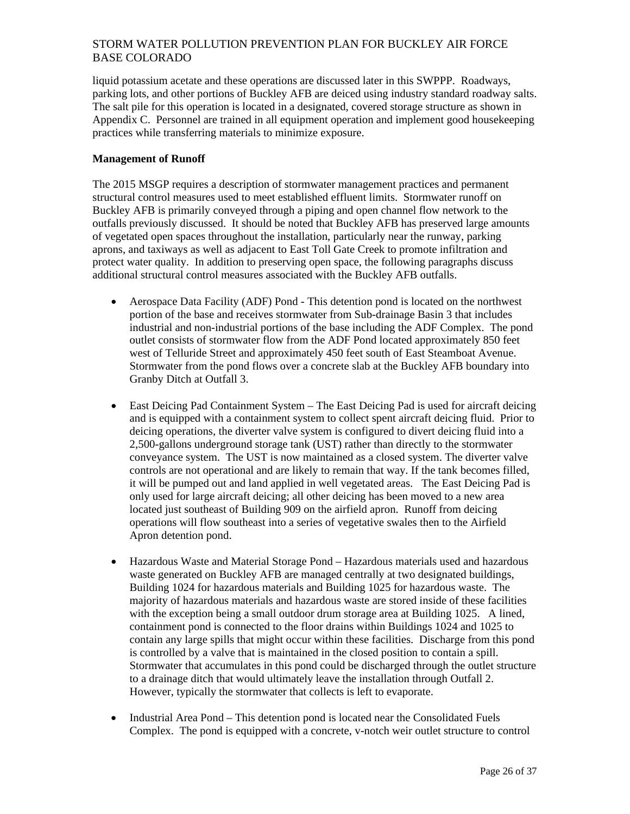liquid potassium acetate and these operations are discussed later in this SWPPP. Roadways, parking lots, and other portions of Buckley AFB are deiced using industry standard roadway salts. The salt pile for this operation is located in a designated, covered storage structure as shown in Appendix C. Personnel are trained in all equipment operation and implement good housekeeping practices while transferring materials to minimize exposure.

#### **Management of Runoff**

The 2015 MSGP requires a description of stormwater management practices and permanent structural control measures used to meet established effluent limits. Stormwater runoff on Buckley AFB is primarily conveyed through a piping and open channel flow network to the outfalls previously discussed. It should be noted that Buckley AFB has preserved large amounts of vegetated open spaces throughout the installation, particularly near the runway, parking aprons, and taxiways as well as adjacent to East Toll Gate Creek to promote infiltration and protect water quality. In addition to preserving open space, the following paragraphs discuss additional structural control measures associated with the Buckley AFB outfalls.

- Aerospace Data Facility (ADF) Pond This detention pond is located on the northwest portion of the base and receives stormwater from Sub-drainage Basin 3 that includes industrial and non-industrial portions of the base including the ADF Complex. The pond outlet consists of stormwater flow from the ADF Pond located approximately 850 feet west of Telluride Street and approximately 450 feet south of East Steamboat Avenue. Stormwater from the pond flows over a concrete slab at the Buckley AFB boundary into Granby Ditch at Outfall 3.
- East Deicing Pad Containment System The East Deicing Pad is used for aircraft deicing and is equipped with a containment system to collect spent aircraft deicing fluid. Prior to deicing operations, the diverter valve system is configured to divert deicing fluid into a 2,500-gallons underground storage tank (UST) rather than directly to the stormwater conveyance system. The UST is now maintained as a closed system. The diverter valve controls are not operational and are likely to remain that way. If the tank becomes filled, it will be pumped out and land applied in well vegetated areas. The East Deicing Pad is only used for large aircraft deicing; all other deicing has been moved to a new area located just southeast of Building 909 on the airfield apron. Runoff from deicing operations will flow southeast into a series of vegetative swales then to the Airfield Apron detention pond.
- Hazardous Waste and Material Storage Pond Hazardous materials used and hazardous waste generated on Buckley AFB are managed centrally at two designated buildings, Building 1024 for hazardous materials and Building 1025 for hazardous waste. The majority of hazardous materials and hazardous waste are stored inside of these facilities with the exception being a small outdoor drum storage area at Building 1025. A lined, containment pond is connected to the floor drains within Buildings 1024 and 1025 to contain any large spills that might occur within these facilities. Discharge from this pond is controlled by a valve that is maintained in the closed position to contain a spill. Stormwater that accumulates in this pond could be discharged through the outlet structure to a drainage ditch that would ultimately leave the installation through Outfall 2. However, typically the stormwater that collects is left to evaporate.
- Industrial Area Pond This detention pond is located near the Consolidated Fuels Complex. The pond is equipped with a concrete, v-notch weir outlet structure to control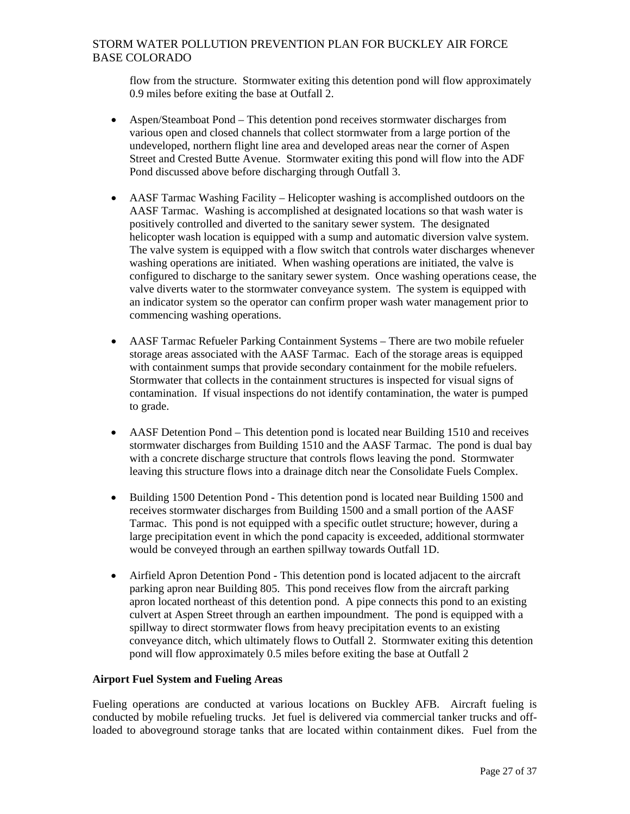flow from the structure. Stormwater exiting this detention pond will flow approximately 0.9 miles before exiting the base at Outfall 2.

- Aspen/Steamboat Pond This detention pond receives stormwater discharges from various open and closed channels that collect stormwater from a large portion of the undeveloped, northern flight line area and developed areas near the corner of Aspen Street and Crested Butte Avenue. Stormwater exiting this pond will flow into the ADF Pond discussed above before discharging through Outfall 3.
- AASF Tarmac Washing Facility Helicopter washing is accomplished outdoors on the AASF Tarmac. Washing is accomplished at designated locations so that wash water is positively controlled and diverted to the sanitary sewer system. The designated helicopter wash location is equipped with a sump and automatic diversion valve system. The valve system is equipped with a flow switch that controls water discharges whenever washing operations are initiated. When washing operations are initiated, the valve is configured to discharge to the sanitary sewer system. Once washing operations cease, the valve diverts water to the stormwater conveyance system. The system is equipped with an indicator system so the operator can confirm proper wash water management prior to commencing washing operations.
- AASF Tarmac Refueler Parking Containment Systems There are two mobile refueler storage areas associated with the AASF Tarmac. Each of the storage areas is equipped with containment sumps that provide secondary containment for the mobile refuelers. Stormwater that collects in the containment structures is inspected for visual signs of contamination. If visual inspections do not identify contamination, the water is pumped to grade.
- AASF Detention Pond This detention pond is located near Building 1510 and receives stormwater discharges from Building 1510 and the AASF Tarmac. The pond is dual bay with a concrete discharge structure that controls flows leaving the pond. Stormwater leaving this structure flows into a drainage ditch near the Consolidate Fuels Complex.
- Building 1500 Detention Pond This detention pond is located near Building 1500 and receives stormwater discharges from Building 1500 and a small portion of the AASF Tarmac. This pond is not equipped with a specific outlet structure; however, during a large precipitation event in which the pond capacity is exceeded, additional stormwater would be conveyed through an earthen spillway towards Outfall 1D.
- Airfield Apron Detention Pond This detention pond is located adjacent to the aircraft parking apron near Building 805. This pond receives flow from the aircraft parking apron located northeast of this detention pond. A pipe connects this pond to an existing culvert at Aspen Street through an earthen impoundment. The pond is equipped with a spillway to direct stormwater flows from heavy precipitation events to an existing conveyance ditch, which ultimately flows to Outfall 2. Stormwater exiting this detention pond will flow approximately 0.5 miles before exiting the base at Outfall 2

#### **Airport Fuel System and Fueling Areas**

Fueling operations are conducted at various locations on Buckley AFB. Aircraft fueling is conducted by mobile refueling trucks. Jet fuel is delivered via commercial tanker trucks and offloaded to aboveground storage tanks that are located within containment dikes. Fuel from the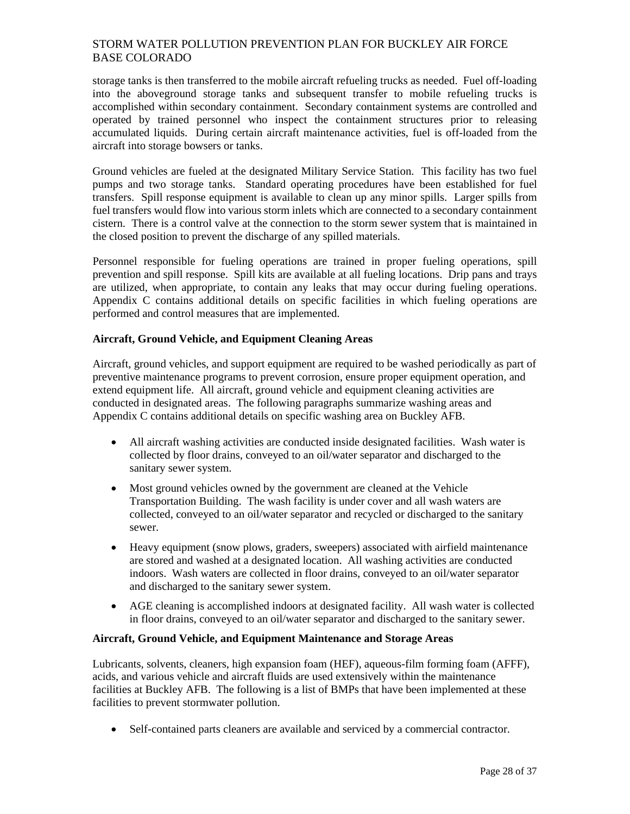storage tanks is then transferred to the mobile aircraft refueling trucks as needed. Fuel off-loading into the aboveground storage tanks and subsequent transfer to mobile refueling trucks is accomplished within secondary containment. Secondary containment systems are controlled and operated by trained personnel who inspect the containment structures prior to releasing accumulated liquids. During certain aircraft maintenance activities, fuel is off-loaded from the aircraft into storage bowsers or tanks.

Ground vehicles are fueled at the designated Military Service Station. This facility has two fuel pumps and two storage tanks. Standard operating procedures have been established for fuel transfers. Spill response equipment is available to clean up any minor spills. Larger spills from fuel transfers would flow into various storm inlets which are connected to a secondary containment cistern. There is a control valve at the connection to the storm sewer system that is maintained in the closed position to prevent the discharge of any spilled materials.

Personnel responsible for fueling operations are trained in proper fueling operations, spill prevention and spill response. Spill kits are available at all fueling locations. Drip pans and trays are utilized, when appropriate, to contain any leaks that may occur during fueling operations. Appendix C contains additional details on specific facilities in which fueling operations are performed and control measures that are implemented.

### **Aircraft, Ground Vehicle, and Equipment Cleaning Areas**

Aircraft, ground vehicles, and support equipment are required to be washed periodically as part of preventive maintenance programs to prevent corrosion, ensure proper equipment operation, and extend equipment life. All aircraft, ground vehicle and equipment cleaning activities are conducted in designated areas. The following paragraphs summarize washing areas and Appendix C contains additional details on specific washing area on Buckley AFB.

- All aircraft washing activities are conducted inside designated facilities. Wash water is collected by floor drains, conveyed to an oil/water separator and discharged to the sanitary sewer system.
- Most ground vehicles owned by the government are cleaned at the Vehicle Transportation Building. The wash facility is under cover and all wash waters are collected, conveyed to an oil/water separator and recycled or discharged to the sanitary sewer.
- Heavy equipment (snow plows, graders, sweepers) associated with airfield maintenance are stored and washed at a designated location. All washing activities are conducted indoors. Wash waters are collected in floor drains, conveyed to an oil/water separator and discharged to the sanitary sewer system.
- AGE cleaning is accomplished indoors at designated facility. All wash water is collected in floor drains, conveyed to an oil/water separator and discharged to the sanitary sewer.

#### **Aircraft, Ground Vehicle, and Equipment Maintenance and Storage Areas**

Lubricants, solvents, cleaners, high expansion foam (HEF), aqueous-film forming foam (AFFF), acids, and various vehicle and aircraft fluids are used extensively within the maintenance facilities at Buckley AFB. The following is a list of BMPs that have been implemented at these facilities to prevent stormwater pollution.

• Self-contained parts cleaners are available and serviced by a commercial contractor.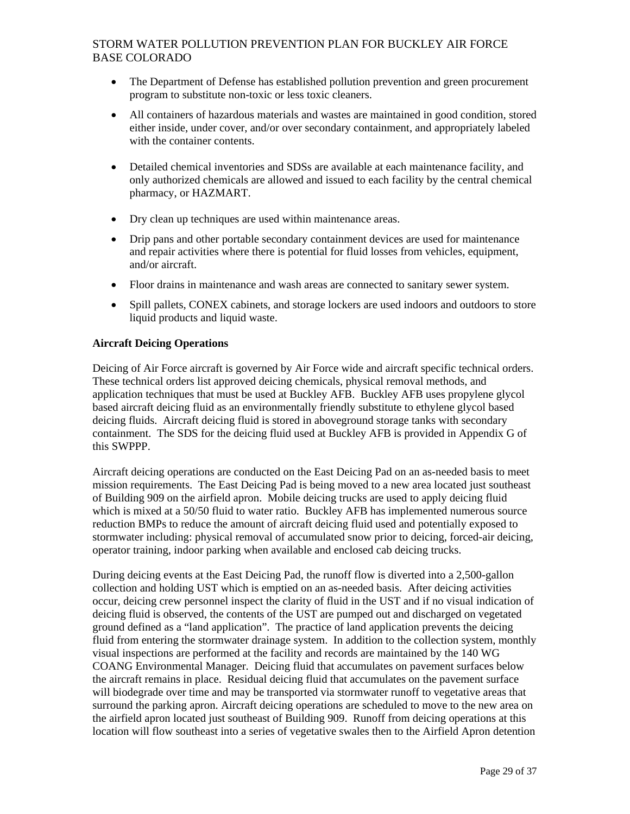- The Department of Defense has established pollution prevention and green procurement program to substitute non-toxic or less toxic cleaners.
- All containers of hazardous materials and wastes are maintained in good condition, stored either inside, under cover, and/or over secondary containment, and appropriately labeled with the container contents.
- Detailed chemical inventories and SDSs are available at each maintenance facility, and only authorized chemicals are allowed and issued to each facility by the central chemical pharmacy, or HAZMART.
- Dry clean up techniques are used within maintenance areas.
- Drip pans and other portable secondary containment devices are used for maintenance and repair activities where there is potential for fluid losses from vehicles, equipment, and/or aircraft.
- Floor drains in maintenance and wash areas are connected to sanitary sewer system.
- Spill pallets, CONEX cabinets, and storage lockers are used indoors and outdoors to store liquid products and liquid waste.

### **Aircraft Deicing Operations**

Deicing of Air Force aircraft is governed by Air Force wide and aircraft specific technical orders. These technical orders list approved deicing chemicals, physical removal methods, and application techniques that must be used at Buckley AFB. Buckley AFB uses propylene glycol based aircraft deicing fluid as an environmentally friendly substitute to ethylene glycol based deicing fluids. Aircraft deicing fluid is stored in aboveground storage tanks with secondary containment. The SDS for the deicing fluid used at Buckley AFB is provided in Appendix G of this SWPPP.

Aircraft deicing operations are conducted on the East Deicing Pad on an as-needed basis to meet mission requirements. The East Deicing Pad is being moved to a new area located just southeast of Building 909 on the airfield apron. Mobile deicing trucks are used to apply deicing fluid which is mixed at a 50/50 fluid to water ratio. Buckley AFB has implemented numerous source reduction BMPs to reduce the amount of aircraft deicing fluid used and potentially exposed to stormwater including: physical removal of accumulated snow prior to deicing, forced-air deicing, operator training, indoor parking when available and enclosed cab deicing trucks.

During deicing events at the East Deicing Pad, the runoff flow is diverted into a 2,500-gallon collection and holding UST which is emptied on an as-needed basis. After deicing activities occur, deicing crew personnel inspect the clarity of fluid in the UST and if no visual indication of deicing fluid is observed, the contents of the UST are pumped out and discharged on vegetated ground defined as a "land application". The practice of land application prevents the deicing fluid from entering the stormwater drainage system. In addition to the collection system, monthly visual inspections are performed at the facility and records are maintained by the 140 WG COANG Environmental Manager. Deicing fluid that accumulates on pavement surfaces below the aircraft remains in place. Residual deicing fluid that accumulates on the pavement surface will biodegrade over time and may be transported via stormwater runoff to vegetative areas that surround the parking apron. Aircraft deicing operations are scheduled to move to the new area on the airfield apron located just southeast of Building 909. Runoff from deicing operations at this location will flow southeast into a series of vegetative swales then to the Airfield Apron detention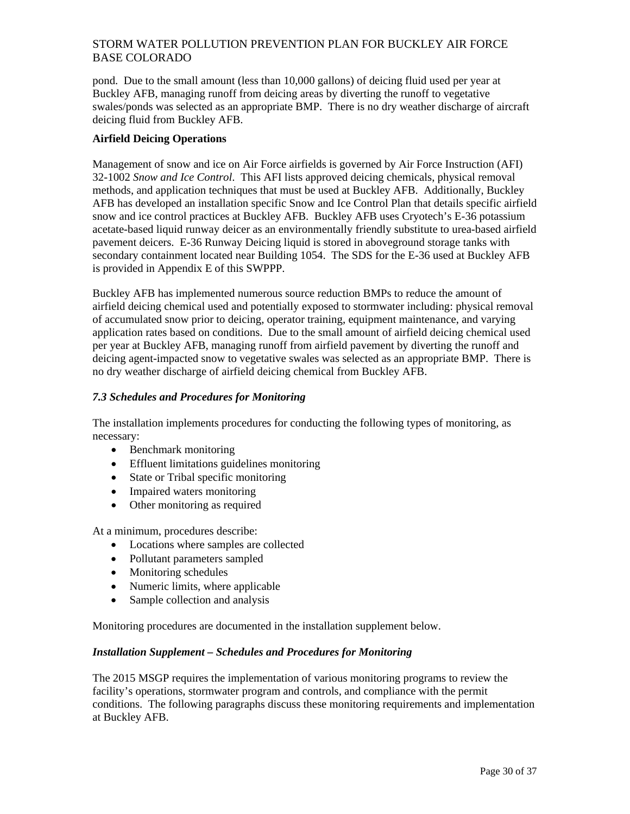pond. Due to the small amount (less than 10,000 gallons) of deicing fluid used per year at Buckley AFB, managing runoff from deicing areas by diverting the runoff to vegetative swales/ponds was selected as an appropriate BMP. There is no dry weather discharge of aircraft deicing fluid from Buckley AFB.

#### **Airfield Deicing Operations**

Management of snow and ice on Air Force airfields is governed by Air Force Instruction (AFI) 32-1002 *Snow and Ice Control*. This AFI lists approved deicing chemicals, physical removal methods, and application techniques that must be used at Buckley AFB. Additionally, Buckley AFB has developed an installation specific Snow and Ice Control Plan that details specific airfield snow and ice control practices at Buckley AFB. Buckley AFB uses Cryotech's E-36 potassium acetate-based liquid runway deicer as an environmentally friendly substitute to urea-based airfield pavement deicers. E-36 Runway Deicing liquid is stored in aboveground storage tanks with secondary containment located near Building 1054. The SDS for the E-36 used at Buckley AFB is provided in Appendix E of this SWPPP.

Buckley AFB has implemented numerous source reduction BMPs to reduce the amount of airfield deicing chemical used and potentially exposed to stormwater including: physical removal of accumulated snow prior to deicing, operator training, equipment maintenance, and varying application rates based on conditions. Due to the small amount of airfield deicing chemical used per year at Buckley AFB, managing runoff from airfield pavement by diverting the runoff and deicing agent-impacted snow to vegetative swales was selected as an appropriate BMP. There is no dry weather discharge of airfield deicing chemical from Buckley AFB.

#### <span id="page-31-0"></span>*7.3 Schedules and Procedures for Monitoring*

The installation implements procedures for conducting the following types of monitoring, as necessary:

- Benchmark monitoring
- Effluent limitations guidelines monitoring
- State or Tribal specific monitoring
- Impaired waters monitoring
- Other monitoring as required

At a minimum, procedures describe:

- Locations where samples are collected
- Pollutant parameters sampled
- Monitoring schedules
- Numeric limits, where applicable
- Sample collection and analysis

Monitoring procedures are documented in the installation supplement below.

#### *Installation Supplement – Schedules and Procedures for Monitoring*

The 2015 MSGP requires the implementation of various monitoring programs to review the facility's operations, stormwater program and controls, and compliance with the permit conditions. The following paragraphs discuss these monitoring requirements and implementation at Buckley AFB.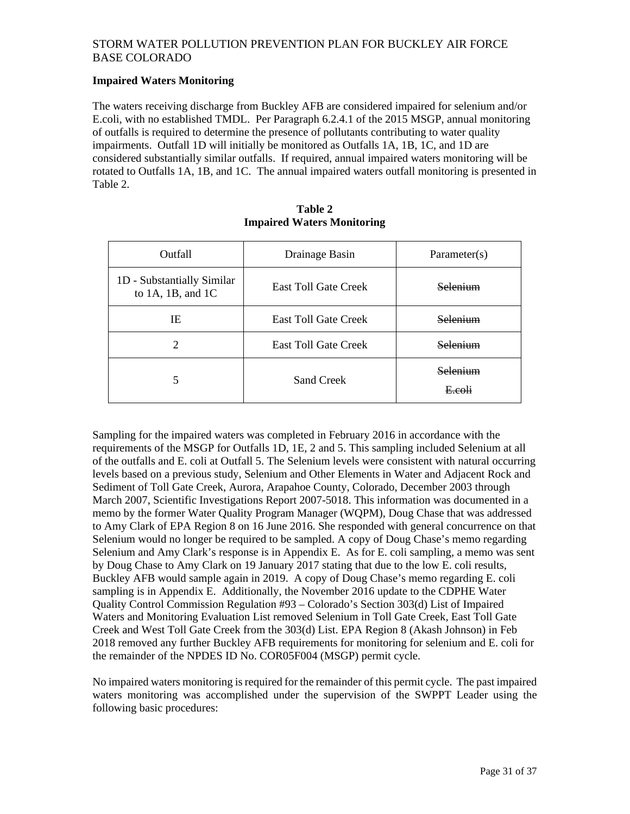### **Impaired Waters Monitoring**

The waters receiving discharge from Buckley AFB are considered impaired for selenium and/or E.coli, with no established TMDL. Per Paragraph 6.2.4.1 of the 2015 MSGP, annual monitoring of outfalls is required to determine the presence of pollutants contributing to water quality impairments. Outfall 1D will initially be monitored as Outfalls 1A, 1B, 1C, and 1D are considered substantially similar outfalls. If required, annual impaired waters monitoring will be rotated to Outfalls 1A, 1B, and 1C. The annual impaired waters outfall monitoring is presented in Table 2.

| Outfall                                                 | Drainage Basin              | Parameter(s)                  |
|---------------------------------------------------------|-----------------------------|-------------------------------|
| 1D - Substantially Similar<br>to $1A$ , $1B$ , and $1C$ | <b>East Toll Gate Creek</b> | Salanium                      |
| IΕ                                                      | East Toll Gate Creek        |                               |
| 2                                                       | <b>East Toll Gate Creek</b> |                               |
| 5                                                       | Sand Creek                  | $C_{\alpha}$ lanium<br>E coli |

| Table 2 |                                   |  |
|---------|-----------------------------------|--|
|         | <b>Impaired Waters Monitoring</b> |  |

Sampling for the impaired waters was completed in February 2016 in accordance with the requirements of the MSGP for Outfalls 1D, 1E, 2 and 5. This sampling included Selenium at all of the outfalls and E. coli at Outfall 5. The Selenium levels were consistent with natural occurring levels based on a previous study, Selenium and Other Elements in Water and Adjacent Rock and Sediment of Toll Gate Creek, Aurora, Arapahoe County, Colorado, December 2003 through March 2007, Scientific Investigations Report 2007-5018. This information was documented in a memo by the former Water Quality Program Manager (WQPM), Doug Chase that was addressed to Amy Clark of EPA Region 8 on 16 June 2016. She responded with general concurrence on that Selenium would no longer be required to be sampled. A copy of Doug Chase's memo regarding Selenium and Amy Clark's response is in Appendix E. As for E. coli sampling, a memo was sent by Doug Chase to Amy Clark on 19 January 2017 stating that due to the low E. coli results, Buckley AFB would sample again in 2019. A copy of Doug Chase's memo regarding E. coli sampling is in Appendix E. Additionally, the November 2016 update to the CDPHE Water Quality Control Commission Regulation #93 – Colorado's Section 303(d) List of Impaired Waters and Monitoring Evaluation List removed Selenium in Toll Gate Creek, East Toll Gate Creek and West Toll Gate Creek from the 303(d) List. EPA Region 8 (Akash Johnson) in Feb 2018 removed any further Buckley AFB requirements for monitoring for selenium and E. coli for the remainder of the NPDES ID No. COR05F004 (MSGP) permit cycle.

No impaired waters monitoring is required for the remainder of this permit cycle. The past impaired waters monitoring was accomplished under the supervision of the SWPPT Leader using the following basic procedures: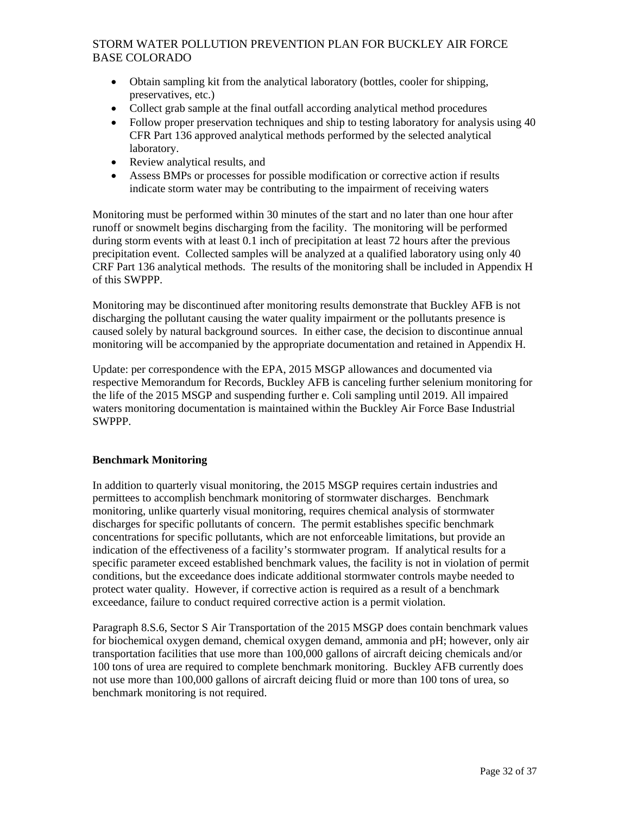- Obtain sampling kit from the analytical laboratory (bottles, cooler for shipping, preservatives, etc.)
- Collect grab sample at the final outfall according analytical method procedures
- Follow proper preservation techniques and ship to testing laboratory for analysis using 40 CFR Part 136 approved analytical methods performed by the selected analytical laboratory.
- Review analytical results, and
- Assess BMPs or processes for possible modification or corrective action if results indicate storm water may be contributing to the impairment of receiving waters

Monitoring must be performed within 30 minutes of the start and no later than one hour after runoff or snowmelt begins discharging from the facility. The monitoring will be performed during storm events with at least 0.1 inch of precipitation at least 72 hours after the previous precipitation event. Collected samples will be analyzed at a qualified laboratory using only 40 CRF Part 136 analytical methods. The results of the monitoring shall be included in Appendix H of this SWPPP.

Monitoring may be discontinued after monitoring results demonstrate that Buckley AFB is not discharging the pollutant causing the water quality impairment or the pollutants presence is caused solely by natural background sources. In either case, the decision to discontinue annual monitoring will be accompanied by the appropriate documentation and retained in Appendix H.

Update: per correspondence with the EPA, 2015 MSGP allowances and documented via respective Memorandum for Records, Buckley AFB is canceling further selenium monitoring for the life of the 2015 MSGP and suspending further e. Coli sampling until 2019. All impaired waters monitoring documentation is maintained within the Buckley Air Force Base Industrial SWPPP.

#### **Benchmark Monitoring**

In addition to quarterly visual monitoring, the 2015 MSGP requires certain industries and permittees to accomplish benchmark monitoring of stormwater discharges. Benchmark monitoring, unlike quarterly visual monitoring, requires chemical analysis of stormwater discharges for specific pollutants of concern. The permit establishes specific benchmark concentrations for specific pollutants, which are not enforceable limitations, but provide an indication of the effectiveness of a facility's stormwater program. If analytical results for a specific parameter exceed established benchmark values, the facility is not in violation of permit conditions, but the exceedance does indicate additional stormwater controls maybe needed to protect water quality. However, if corrective action is required as a result of a benchmark exceedance, failure to conduct required corrective action is a permit violation.

Paragraph 8.S.6, Sector S Air Transportation of the 2015 MSGP does contain benchmark values for biochemical oxygen demand, chemical oxygen demand, ammonia and pH; however, only air transportation facilities that use more than 100,000 gallons of aircraft deicing chemicals and/or 100 tons of urea are required to complete benchmark monitoring. Buckley AFB currently does not use more than 100,000 gallons of aircraft deicing fluid or more than 100 tons of urea, so benchmark monitoring is not required.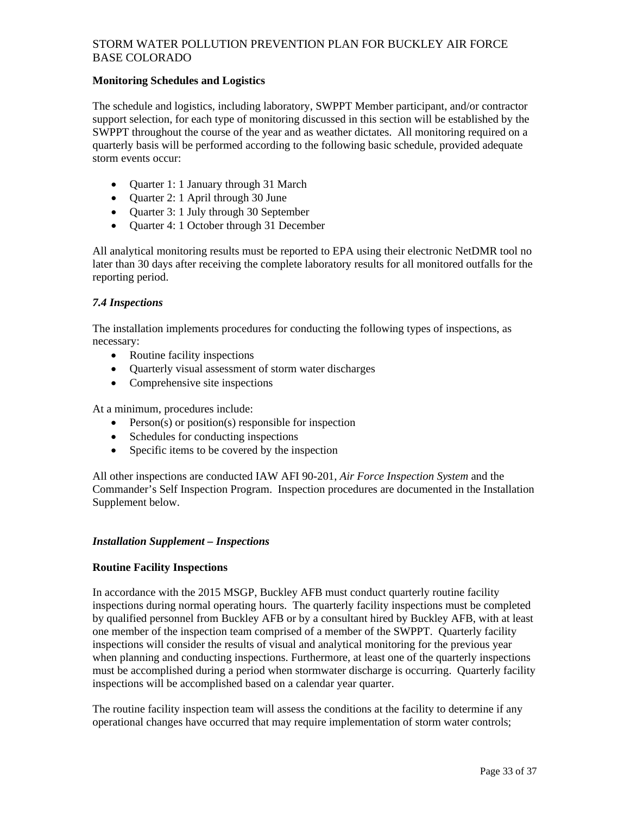#### **Monitoring Schedules and Logistics**

The schedule and logistics, including laboratory, SWPPT Member participant, and/or contractor support selection, for each type of monitoring discussed in this section will be established by the SWPPT throughout the course of the year and as weather dictates. All monitoring required on a quarterly basis will be performed according to the following basic schedule, provided adequate storm events occur:

- Quarter 1: 1 January through 31 March
- Quarter 2: 1 April through 30 June
- Quarter 3: 1 July through 30 September
- Ouarter 4: 1 October through 31 December

All analytical monitoring results must be reported to EPA using their electronic NetDMR tool no later than 30 days after receiving the complete laboratory results for all monitored outfalls for the reporting period.

#### <span id="page-34-0"></span>*7.4 Inspections*

The installation implements procedures for conducting the following types of inspections, as necessary:

- Routine facility inspections
- Quarterly visual assessment of storm water discharges
- Comprehensive site inspections

At a minimum, procedures include:

- Person(s) or position(s) responsible for inspection
- Schedules for conducting inspections
- Specific items to be covered by the inspection

All other inspections are conducted IAW AFI 90-201, *Air Force Inspection System* and the Commander's Self Inspection Program. Inspection procedures are documented in the Installation Supplement below.

#### *Installation Supplement – Inspections*

#### **Routine Facility Inspections**

In accordance with the 2015 MSGP, Buckley AFB must conduct quarterly routine facility inspections during normal operating hours. The quarterly facility inspections must be completed by qualified personnel from Buckley AFB or by a consultant hired by Buckley AFB, with at least one member of the inspection team comprised of a member of the SWPPT. Quarterly facility inspections will consider the results of visual and analytical monitoring for the previous year when planning and conducting inspections. Furthermore, at least one of the quarterly inspections must be accomplished during a period when stormwater discharge is occurring. Quarterly facility inspections will be accomplished based on a calendar year quarter.

The routine facility inspection team will assess the conditions at the facility to determine if any operational changes have occurred that may require implementation of storm water controls;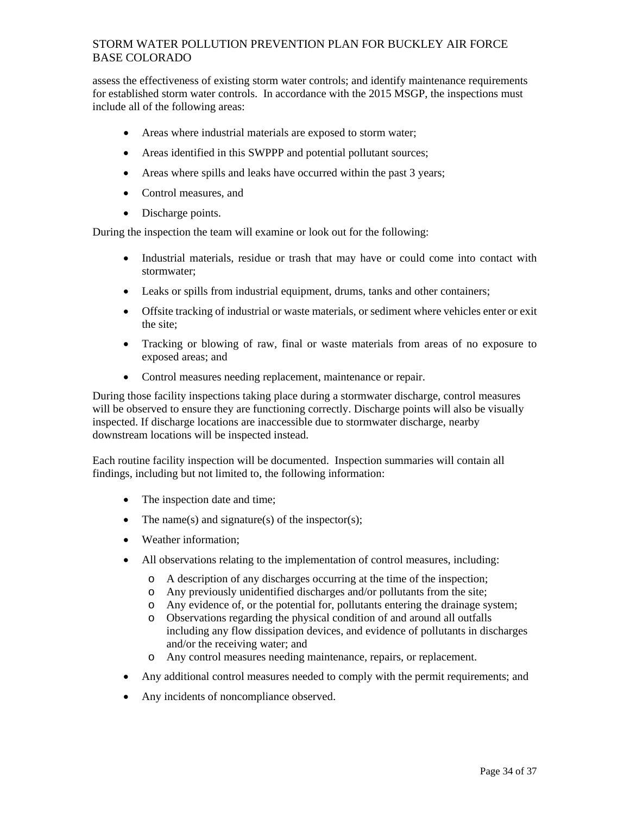assess the effectiveness of existing storm water controls; and identify maintenance requirements for established storm water controls. In accordance with the 2015 MSGP, the inspections must include all of the following areas:

- Areas where industrial materials are exposed to storm water;
- Areas identified in this SWPPP and potential pollutant sources;
- Areas where spills and leaks have occurred within the past 3 years;
- Control measures, and
- Discharge points.

During the inspection the team will examine or look out for the following:

- Industrial materials, residue or trash that may have or could come into contact with stormwater;
- Leaks or spills from industrial equipment, drums, tanks and other containers;
- Offsite tracking of industrial or waste materials, or sediment where vehicles enter or exit the site;
- Tracking or blowing of raw, final or waste materials from areas of no exposure to exposed areas; and
- Control measures needing replacement, maintenance or repair.

During those facility inspections taking place during a stormwater discharge, control measures will be observed to ensure they are functioning correctly. Discharge points will also be visually inspected. If discharge locations are inaccessible due to stormwater discharge, nearby downstream locations will be inspected instead.

Each routine facility inspection will be documented. Inspection summaries will contain all findings, including but not limited to, the following information:

- The inspection date and time;
- The name(s) and signature(s) of the inspector(s);
- Weather information:
- All observations relating to the implementation of control measures, including:
	- o A description of any discharges occurring at the time of the inspection;<br>o Any previously unidentified discharges and/or pollutants from the site;
	- Any previously unidentified discharges and/or pollutants from the site;
	- o Any evidence of, or the potential for, pollutants entering the drainage system;
	- o Observations regarding the physical condition of and around all outfalls including any flow dissipation devices, and evidence of pollutants in discharges and/or the receiving water; and
	- o Any control measures needing maintenance, repairs, or replacement.
- Any additional control measures needed to comply with the permit requirements; and
- Any incidents of noncompliance observed.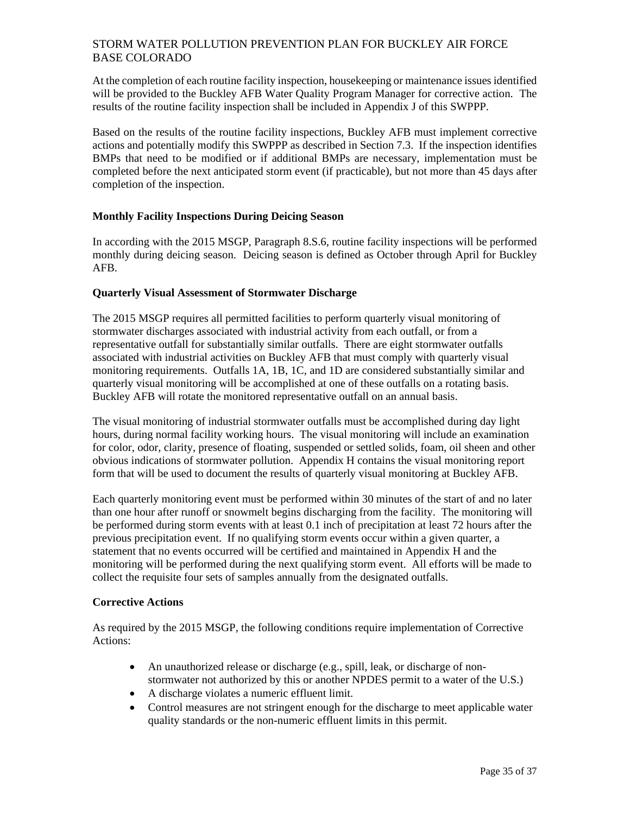At the completion of each routine facility inspection, housekeeping or maintenance issues identified will be provided to the Buckley AFB Water Quality Program Manager for corrective action. The results of the routine facility inspection shall be included in Appendix J of this SWPPP.

Based on the results of the routine facility inspections, Buckley AFB must implement corrective actions and potentially modify this SWPPP as described in Section 7.3. If the inspection identifies BMPs that need to be modified or if additional BMPs are necessary, implementation must be completed before the next anticipated storm event (if practicable), but not more than 45 days after completion of the inspection.

#### **Monthly Facility Inspections During Deicing Season**

In according with the 2015 MSGP, Paragraph 8.S.6, routine facility inspections will be performed monthly during deicing season. Deicing season is defined as October through April for Buckley AFB.

#### **Quarterly Visual Assessment of Stormwater Discharge**

The 2015 MSGP requires all permitted facilities to perform quarterly visual monitoring of stormwater discharges associated with industrial activity from each outfall, or from a representative outfall for substantially similar outfalls. There are eight stormwater outfalls associated with industrial activities on Buckley AFB that must comply with quarterly visual monitoring requirements. Outfalls 1A, 1B, 1C, and 1D are considered substantially similar and quarterly visual monitoring will be accomplished at one of these outfalls on a rotating basis. Buckley AFB will rotate the monitored representative outfall on an annual basis.

The visual monitoring of industrial stormwater outfalls must be accomplished during day light hours, during normal facility working hours. The visual monitoring will include an examination for color, odor, clarity, presence of floating, suspended or settled solids, foam, oil sheen and other obvious indications of stormwater pollution. Appendix H contains the visual monitoring report form that will be used to document the results of quarterly visual monitoring at Buckley AFB.

Each quarterly monitoring event must be performed within 30 minutes of the start of and no later than one hour after runoff or snowmelt begins discharging from the facility. The monitoring will be performed during storm events with at least 0.1 inch of precipitation at least 72 hours after the previous precipitation event. If no qualifying storm events occur within a given quarter, a statement that no events occurred will be certified and maintained in Appendix H and the monitoring will be performed during the next qualifying storm event. All efforts will be made to collect the requisite four sets of samples annually from the designated outfalls.

#### **Corrective Actions**

As required by the 2015 MSGP, the following conditions require implementation of Corrective Actions:

- An unauthorized release or discharge (e.g., spill, leak, or discharge of nonstormwater not authorized by this or another NPDES permit to a water of the U.S.)
- A discharge violates a numeric effluent limit.
- Control measures are not stringent enough for the discharge to meet applicable water quality standards or the non-numeric effluent limits in this permit.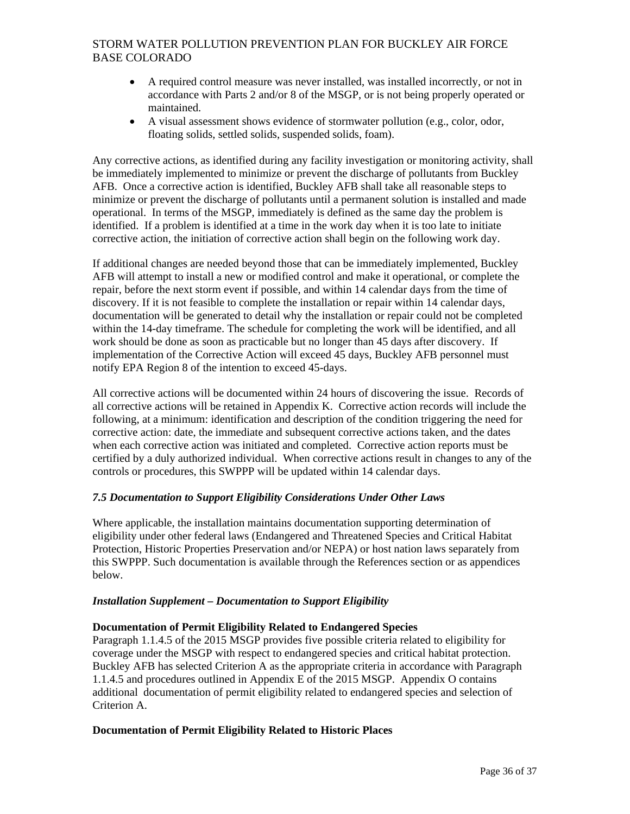- A required control measure was never installed, was installed incorrectly, or not in accordance with Parts 2 and/or 8 of the MSGP, or is not being properly operated or maintained.
- A visual assessment shows evidence of stormwater pollution (e.g., color, odor, floating solids, settled solids, suspended solids, foam).

Any corrective actions, as identified during any facility investigation or monitoring activity, shall be immediately implemented to minimize or prevent the discharge of pollutants from Buckley AFB. Once a corrective action is identified, Buckley AFB shall take all reasonable steps to minimize or prevent the discharge of pollutants until a permanent solution is installed and made operational. In terms of the MSGP, immediately is defined as the same day the problem is identified. If a problem is identified at a time in the work day when it is too late to initiate corrective action, the initiation of corrective action shall begin on the following work day.

If additional changes are needed beyond those that can be immediately implemented, Buckley AFB will attempt to install a new or modified control and make it operational, or complete the repair, before the next storm event if possible, and within 14 calendar days from the time of discovery. If it is not feasible to complete the installation or repair within 14 calendar days, documentation will be generated to detail why the installation or repair could not be completed within the 14-day timeframe. The schedule for completing the work will be identified, and all work should be done as soon as practicable but no longer than 45 days after discovery. If implementation of the Corrective Action will exceed 45 days, Buckley AFB personnel must notify EPA Region 8 of the intention to exceed 45-days.

All corrective actions will be documented within 24 hours of discovering the issue. Records of all corrective actions will be retained in Appendix K. Corrective action records will include the following, at a minimum: identification and description of the condition triggering the need for corrective action: date, the immediate and subsequent corrective actions taken, and the dates when each corrective action was initiated and completed. Corrective action reports must be certified by a duly authorized individual. When corrective actions result in changes to any of the controls or procedures, this SWPPP will be updated within 14 calendar days.

### <span id="page-37-0"></span>*7.5 Documentation to Support Eligibility Considerations Under Other Laws*

Where applicable, the installation maintains documentation supporting determination of eligibility under other federal laws (Endangered and Threatened Species and Critical Habitat Protection, Historic Properties Preservation and/or NEPA) or host nation laws separately from this SWPPP. Such documentation is available through the References section or as appendices below.

#### *Installation Supplement – Documentation to Support Eligibility*

#### **Documentation of Permit Eligibility Related to Endangered Species**

Paragraph 1.1.4.5 of the 2015 MSGP provides five possible criteria related to eligibility for coverage under the MSGP with respect to endangered species and critical habitat protection. Buckley AFB has selected Criterion A as the appropriate criteria in accordance with Paragraph 1.1.4.5 and procedures outlined in Appendix E of the 2015 MSGP. Appendix O contains additional documentation of permit eligibility related to endangered species and selection of Criterion A.

#### **Documentation of Permit Eligibility Related to Historic Places**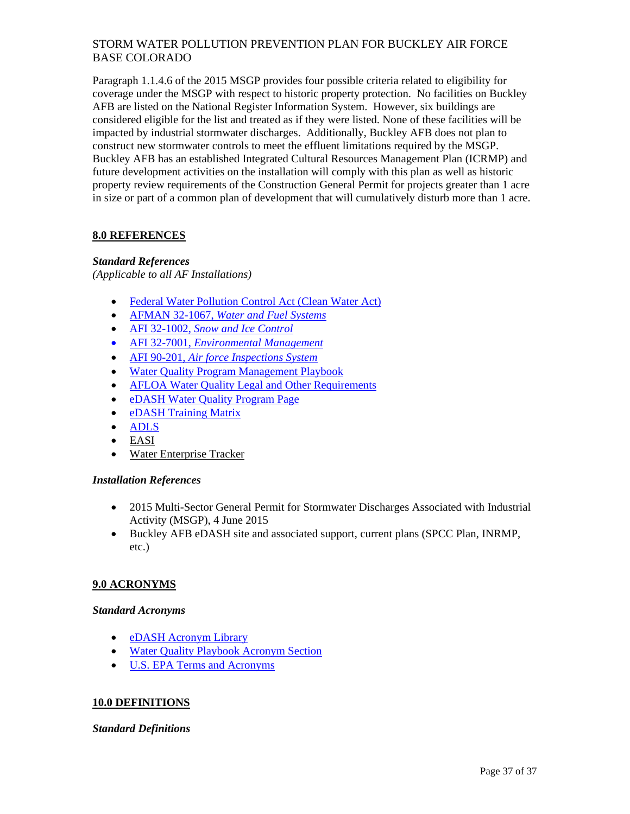Paragraph 1.1.4.6 of the 2015 MSGP provides four possible criteria related to eligibility for coverage under the MSGP with respect to historic property protection. No facilities on Buckley AFB are listed on the National Register Information System. However, six buildings are considered eligible for the list and treated as if they were listed. None of these facilities will be impacted by industrial stormwater discharges. Additionally, Buckley AFB does not plan to construct new stormwater controls to meet the effluent limitations required by the MSGP. Buckley AFB has an established Integrated Cultural Resources Management Plan (ICRMP) and future development activities on the installation will comply with this plan as well as historic property review requirements of the Construction General Permit for projects greater than 1 acre in size or part of a common plan of development that will cumulatively disturb more than 1 acre.

### <span id="page-38-0"></span>**8.0 REFERENCES**

#### *Standard References*

*(Applicable to all AF Installations)*

- [Federal Water Pollution Control Act \(Clean Water Act\)](http://www.epw.senate.gov/water.pdf)
- AFMAN 32-1067, *[Water and Fuel Systems](http://static.e-publishing.af.mil/production/1/af_a4_7/publication/afi32-1067/afi32-1067.pdf)*
- AFI 32-1002, *[Snow and Ice Control](http://static.e-publishing.af.mil/production/1/af_a4_7/publication/afi32-1002/afi32-1002.pdf)*
- AFI 32-7001, *[Environmental Management](http://static.e-publishing.af.mil/production/1/af_a4_7/publication/afi32-7001/afi32-7001.pdf)*
- AFI 90-201, *[Air force Inspections System](http://static.e-publishing.af.mil/production/1/saf_ig/publication/afi90-201/afi90-201.pdf)*
- [Water Quality Program Management Playbook](https://app.eis.af.mil/a7cportal/CEPlaybooks/IM/ENV/WQPM/Pages/default.aspx)
- AFLOA Water Quality [Legal and Other Requirements](https://cs1.eis.af.mil/sites/edash/Lists/AFLOA%20Legal%20and%20Other%20Requirements/AllItems.aspx?View=%7B5B4DE9A5-F96C-46E3-8540-00FA5C26D797%7D&FilterField1=Program%5Fx0020%5FArea&FilterValue1=Water%20Quality)
- [eDASH Water Quality Program Page](https://cs1.eis.af.mil/sites/edash/Web%20Part%20Pages%20%20Program%20Pages/Environmental/Water%20Quality.aspx)
- [eDASH Training Matrix](https://cs1.eis.af.mil/sites/edash/Lists/TrainingMatrix/AllItems.aspx?View=%7BE0A63FAD-C6AB-4C87-8566-375B19E06BD4%7D&FilterField1=Program%5Fx0020%5FArea&FilterValue1=Water%20Quality)
- [ADLS](https://www.google.com/url?sa=t&rct=j&q=&esrc=s&source=web&cd=1&cad=rja&uact=8&ved=0CCAQFjAA&url=https%3A%2F%2Fgolearn.csd.disa.mil%2Fkc%2Flogin%2Flogin.asp&ei=Wm-QVPibMcHZggSXk4PABA&usg=AFQjCNGtvAZMWN_HyBzOxCqWEFdK72fGKw&sig2=JpKwR425eK2WWyHN3hdCmw&bvm=bv.81828268,d.eXY)
- EASI
- Water Enterprise Tracker

#### *Installation References*

- 2015 Multi-Sector General Permit for Stormwater Discharges Associated with Industrial Activity (MSGP), 4 June 2015
- Buckley AFB eDASH site and associated support, current plans (SPCC Plan, INRMP, etc.)

## <span id="page-38-1"></span>**9.0 ACRONYMS**

#### *Standard Acronyms*

- [eDASH Acronym Library](https://cs1.eis.af.mil/sites/edash/Lists/Acronym%20Library/AllItems.aspx)
- [Water Quality Playbook Acronym Section](https://app.eis.af.mil/a7cportal/CEPlaybooks/IM/ENV/WQPM/Pages/PlaybookProcesses.aspx?PrintOrder=28)
- <span id="page-38-2"></span>• [U.S. EPA Terms and Acronyms](http://ofmpub.epa.gov/sor_internet/registry/termreg/searchandretrieve/termsandacronyms/search.do)

#### **10.0 DEFINITIONS**

#### *Standard Definitions*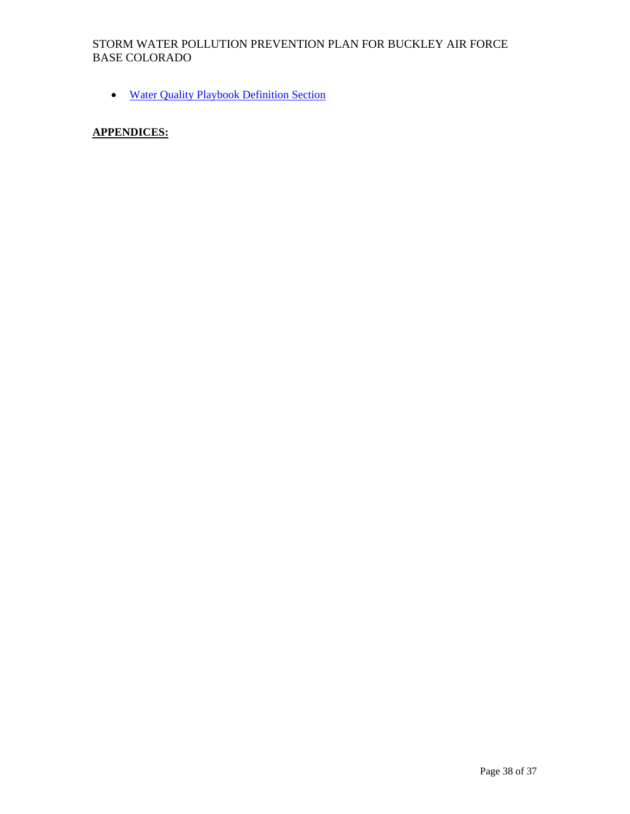<span id="page-39-0"></span>• [Water Quality Playbook Definition Section](https://app.eis.af.mil/a7cportal/CEPlaybooks/IM/ENV/WQPM/Pages/PlaybookProcesses.aspx?PrintOrder=29)

# **APPENDICES:**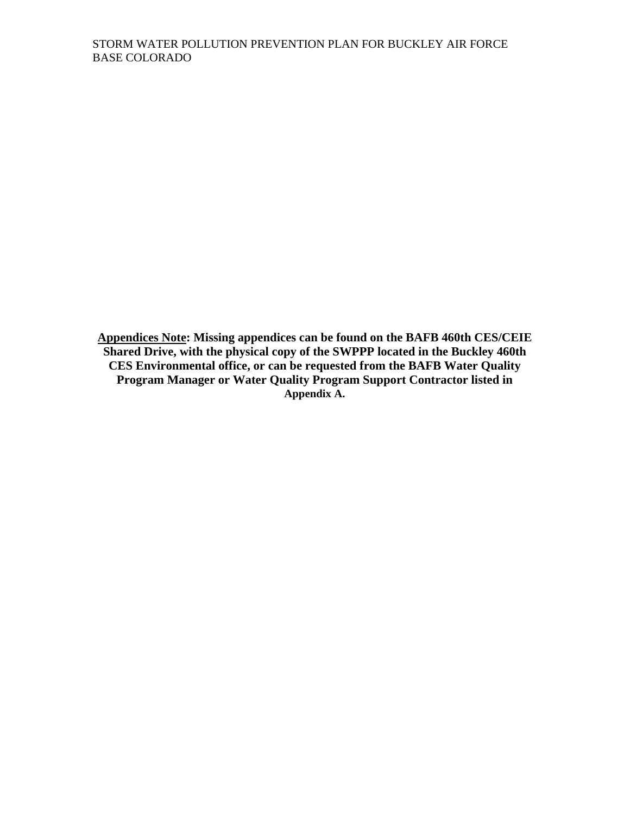<span id="page-40-0"></span>**Appendices Note: Missing appendices can be found on the BAFB 460th CES/CEIE Shared Drive, with the physical copy of the SWPPP located in the Buckley 460th CES Environmental office, or can be requested from the BAFB Water Quality Program Manager or Water Quality Program Support Contractor listed in Appendix A.**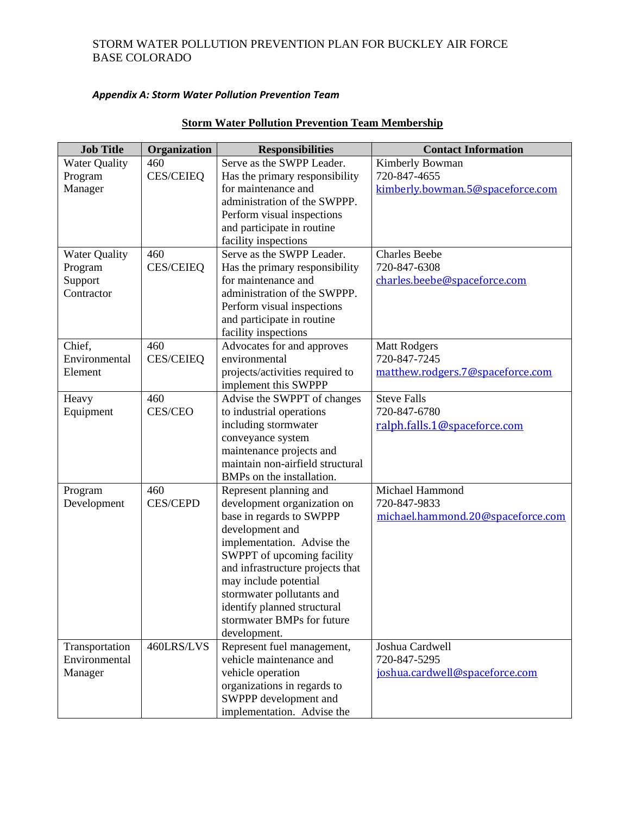# *Appendix A: Storm Water Pollution Prevention Team*

| <b>Job Title</b>     | Organization     | <b>Responsibilities</b>          | <b>Contact Information</b>        |
|----------------------|------------------|----------------------------------|-----------------------------------|
| <b>Water Quality</b> | 460              | Serve as the SWPP Leader.        | Kimberly Bowman                   |
| Program              | <b>CES/CEIEQ</b> | Has the primary responsibility   | 720-847-4655                      |
| Manager              |                  | for maintenance and              | kimberly.bowman.5@spaceforce.com  |
|                      |                  | administration of the SWPPP.     |                                   |
|                      |                  | Perform visual inspections       |                                   |
|                      |                  | and participate in routine       |                                   |
|                      |                  | facility inspections             |                                   |
| <b>Water Quality</b> | 460              | Serve as the SWPP Leader.        | <b>Charles Beebe</b>              |
| Program              | <b>CES/CEIEQ</b> | Has the primary responsibility   | 720-847-6308                      |
| Support              |                  | for maintenance and              | charles.beebe@spaceforce.com      |
| Contractor           |                  | administration of the SWPPP.     |                                   |
|                      |                  | Perform visual inspections       |                                   |
|                      |                  | and participate in routine       |                                   |
|                      |                  | facility inspections             |                                   |
| Chief,               | 460              | Advocates for and approves       | <b>Matt Rodgers</b>               |
| Environmental        | <b>CES/CEIEQ</b> | environmental                    | 720-847-7245                      |
| Element              |                  | projects/activities required to  | matthew.rodgers.7@spaceforce.com  |
|                      |                  | implement this SWPPP             |                                   |
| Heavy                | 460              | Advise the SWPPT of changes      | <b>Steve Falls</b>                |
| Equipment            | <b>CES/CEO</b>   | to industrial operations         | 720-847-6780                      |
|                      |                  | including stormwater             | ralph.falls.1@spaceforce.com      |
|                      |                  | conveyance system                |                                   |
|                      |                  | maintenance projects and         |                                   |
|                      |                  | maintain non-airfield structural |                                   |
|                      |                  | BMPs on the installation.        |                                   |
| Program              | 460              | Represent planning and           | Michael Hammond                   |
| Development          | <b>CES/CEPD</b>  | development organization on      | 720-847-9833                      |
|                      |                  | base in regards to SWPPP         | michael.hammond.20@spaceforce.com |
|                      |                  | development and                  |                                   |
|                      |                  | implementation. Advise the       |                                   |
|                      |                  | SWPPT of upcoming facility       |                                   |
|                      |                  | and infrastructure projects that |                                   |
|                      |                  | may include potential            |                                   |
|                      |                  | stormwater pollutants and        |                                   |
|                      |                  | identify planned structural      |                                   |
|                      |                  | stormwater BMPs for future       |                                   |
|                      |                  | development.                     |                                   |
| Transportation       | 460LRS/LVS       | Represent fuel management,       | Joshua Cardwell                   |
| Environmental        |                  | vehicle maintenance and          | 720-847-5295                      |
| Manager              |                  | vehicle operation                | joshua.cardwell@spaceforce.com    |
|                      |                  | organizations in regards to      |                                   |
|                      |                  | SWPPP development and            |                                   |
|                      |                  | implementation. Advise the       |                                   |

# **Storm Water Pollution Prevention Team Membership**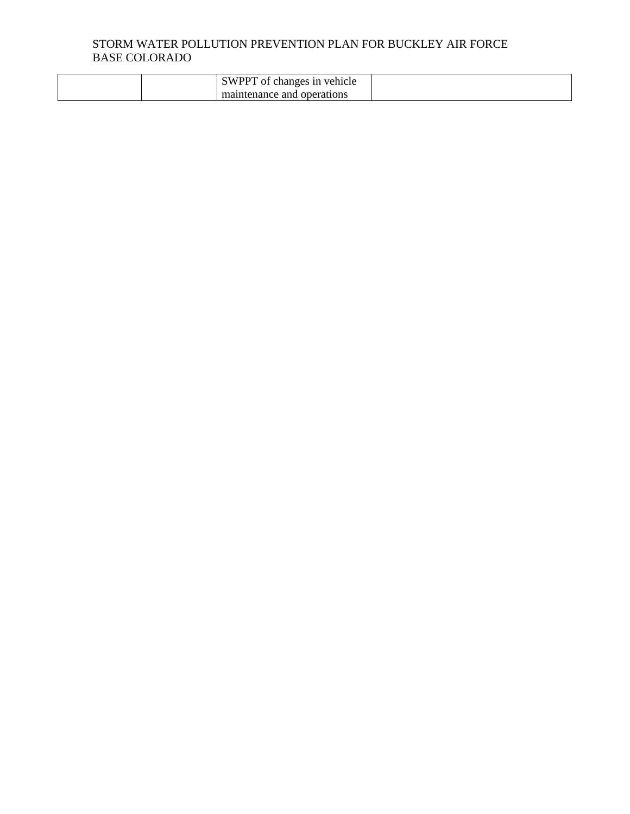|  | 'PP.<br>venicle<br>changes<br>W<br>ОI |  |
|--|---------------------------------------|--|
|  | operations<br>maintenance and         |  |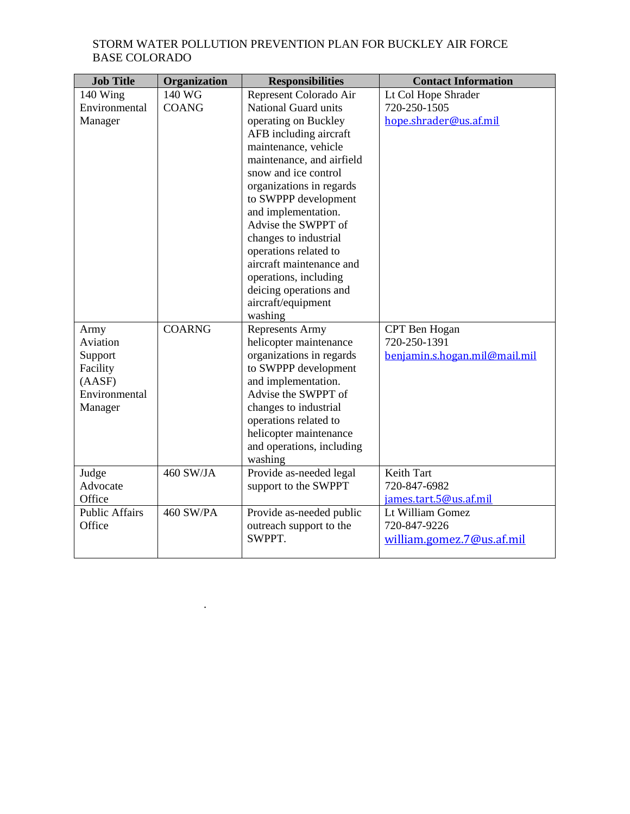| <b>Job Title</b>      | Organization     | <b>Responsibilities</b>   | <b>Contact Information</b>    |
|-----------------------|------------------|---------------------------|-------------------------------|
| 140 Wing              | 140 WG           | Represent Colorado Air    | Lt Col Hope Shrader           |
| Environmental         | <b>COANG</b>     | National Guard units      | 720-250-1505                  |
| Manager               |                  | operating on Buckley      | hope.shrader@us.af.mil        |
|                       |                  | AFB including aircraft    |                               |
|                       |                  | maintenance, vehicle      |                               |
|                       |                  | maintenance, and airfield |                               |
|                       |                  | snow and ice control      |                               |
|                       |                  | organizations in regards  |                               |
|                       |                  | to SWPPP development      |                               |
|                       |                  | and implementation.       |                               |
|                       |                  | Advise the SWPPT of       |                               |
|                       |                  | changes to industrial     |                               |
|                       |                  | operations related to     |                               |
|                       |                  | aircraft maintenance and  |                               |
|                       |                  | operations, including     |                               |
|                       |                  | deicing operations and    |                               |
|                       |                  | aircraft/equipment        |                               |
|                       |                  | washing                   |                               |
| Army                  | <b>COARNG</b>    | <b>Represents Army</b>    | CPT Ben Hogan                 |
| Aviation              |                  | helicopter maintenance    | 720-250-1391                  |
| Support               |                  | organizations in regards  | benjamin.s.hogan.mil@mail.mil |
| Facility              |                  | to SWPPP development      |                               |
| (AASF)                |                  | and implementation.       |                               |
| Environmental         |                  | Advise the SWPPT of       |                               |
| Manager               |                  | changes to industrial     |                               |
|                       |                  | operations related to     |                               |
|                       |                  | helicopter maintenance    |                               |
|                       |                  | and operations, including |                               |
|                       |                  | washing                   |                               |
| Judge                 | 460 SW/JA        | Provide as-needed legal   | <b>Keith Tart</b>             |
| Advocate              |                  | support to the SWPPT      | 720-847-6982                  |
| Office                |                  |                           | james.tart.5@us.af.mil        |
| <b>Public Affairs</b> | <b>460 SW/PA</b> | Provide as-needed public  | Lt William Gomez              |
| Office                |                  | outreach support to the   | 720-847-9226                  |
|                       |                  | SWPPT.                    | william.gomez.7@us.af.mil     |
|                       |                  |                           |                               |

.

# STORM WATER POLLUTION PREVENTION PLAN FOR BUCKLEY AIR FORCE BASE COLORADO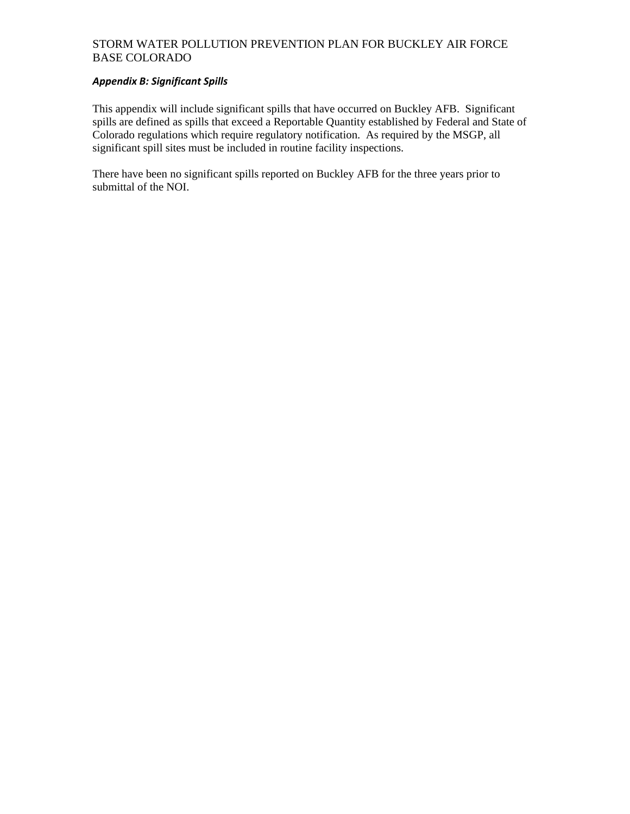## <span id="page-44-0"></span>*Appendix B: Significant Spills*

This appendix will include significant spills that have occurred on Buckley AFB. Significant spills are defined as spills that exceed a Reportable Quantity established by Federal and State of Colorado regulations which require regulatory notification. As required by the MSGP, all significant spill sites must be included in routine facility inspections.

There have been no significant spills reported on Buckley AFB for the three years prior to submittal of the NOI.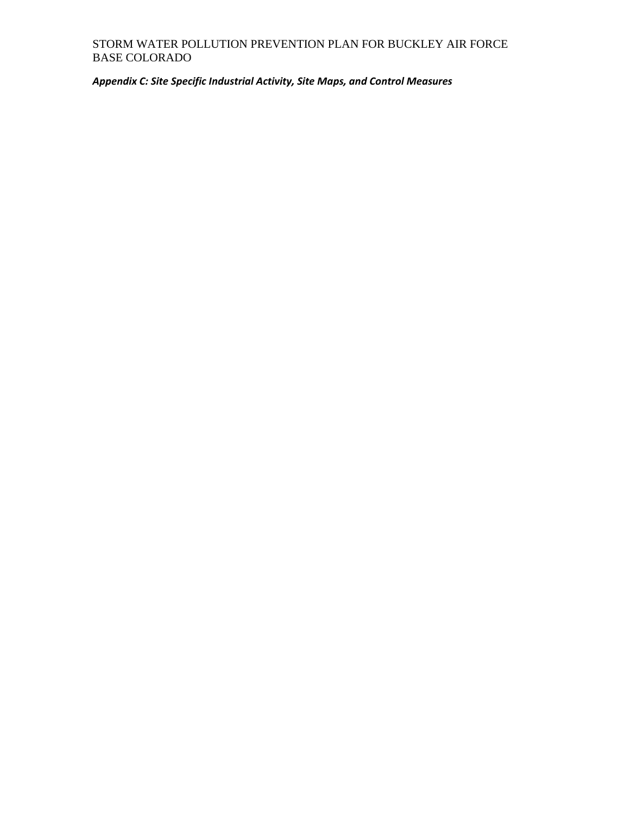<span id="page-45-0"></span>*Appendix C: Site Specific Industrial Activity, Site Maps, and Control Measures*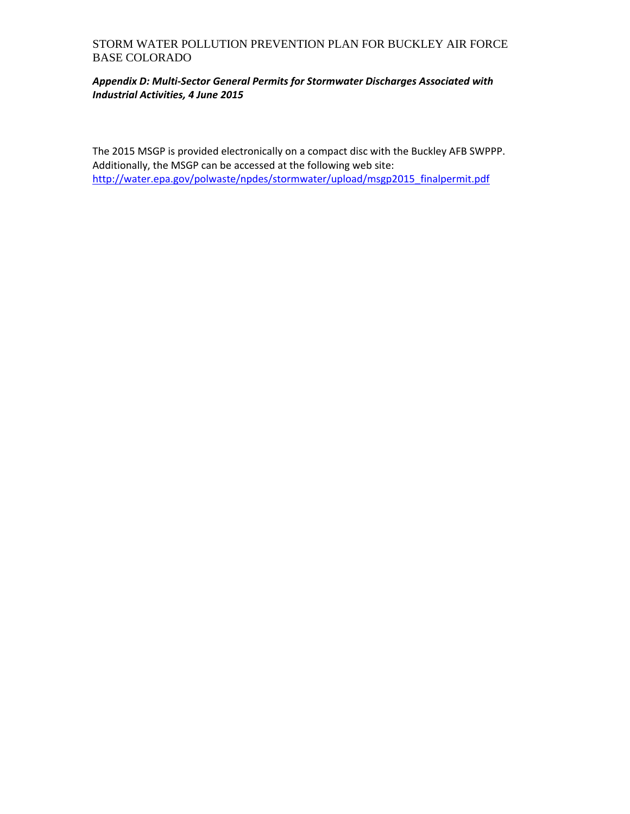<span id="page-46-0"></span>*Appendix D: Multi-Sector General Permits for Stormwater Discharges Associated with Industrial Activities, 4 June 2015*

The 2015 MSGP is provided electronically on a compact disc with the Buckley AFB SWPPP. Additionally, the MSGP can be accessed at the following web site: [http://water.epa.gov/polwaste/npdes/stormwater/upload/msgp2015\\_finalpermit.pdf](http://water.epa.gov/polwaste/npdes/stormwater/upload/msgp2015_finalpermit.pdf)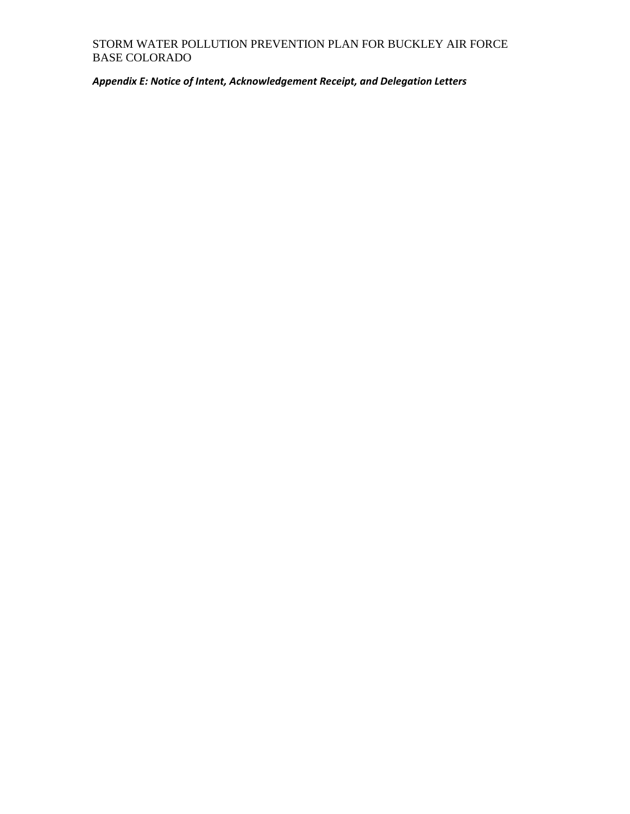<span id="page-47-0"></span>*Appendix E: Notice of Intent, Acknowledgement Receipt, and Delegation Letters*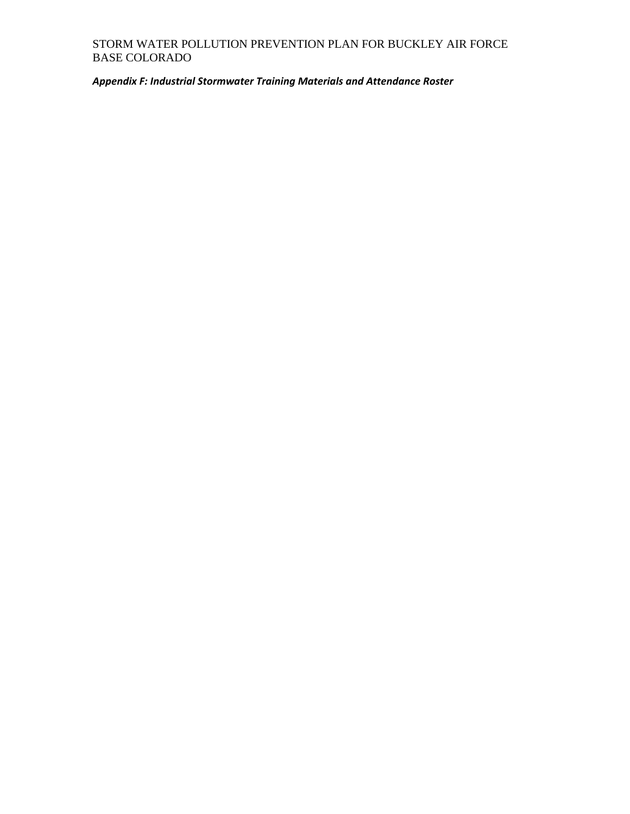<span id="page-48-0"></span>*Appendix F: Industrial Stormwater Training Materials and Attendance Roster*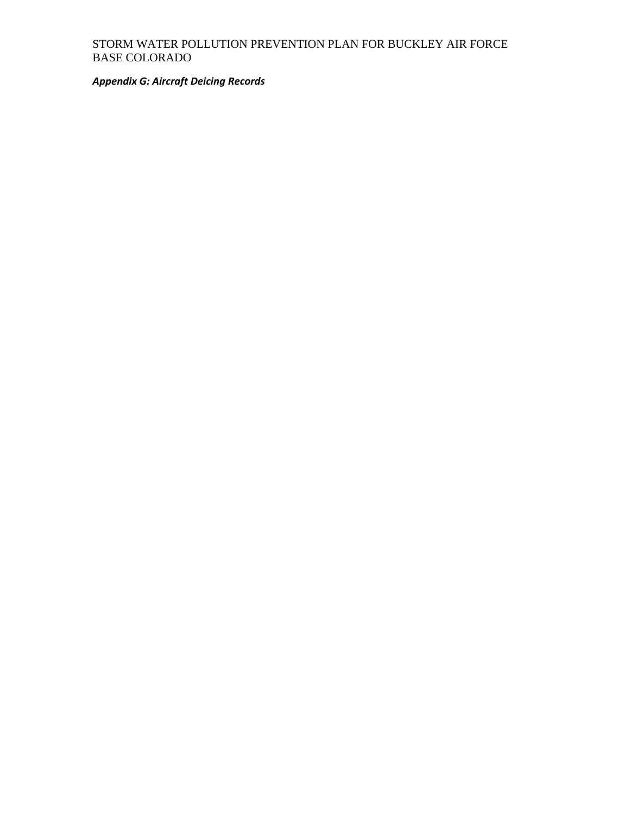<span id="page-49-0"></span>*Appendix G: Aircraft Deicing Records*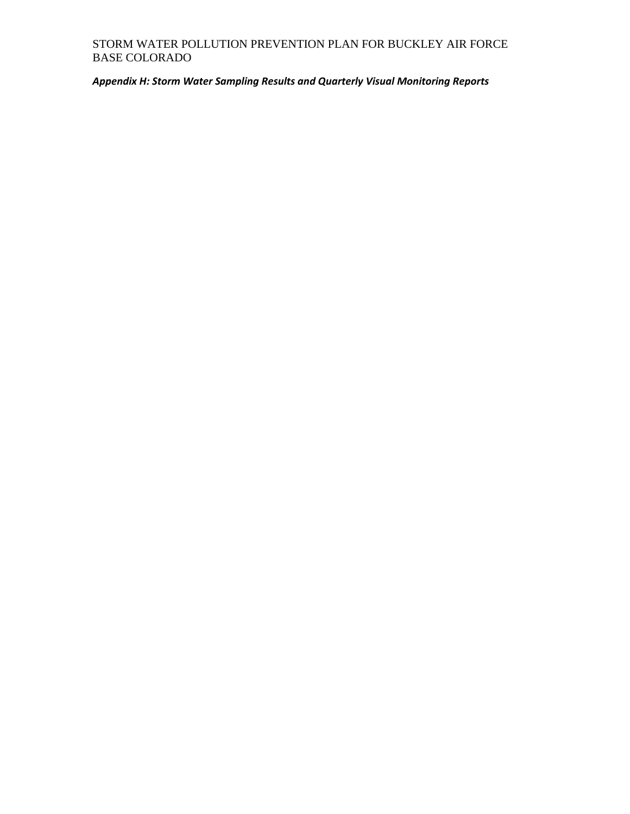<span id="page-50-0"></span>*Appendix H: Storm Water Sampling Results and Quarterly Visual Monitoring Reports*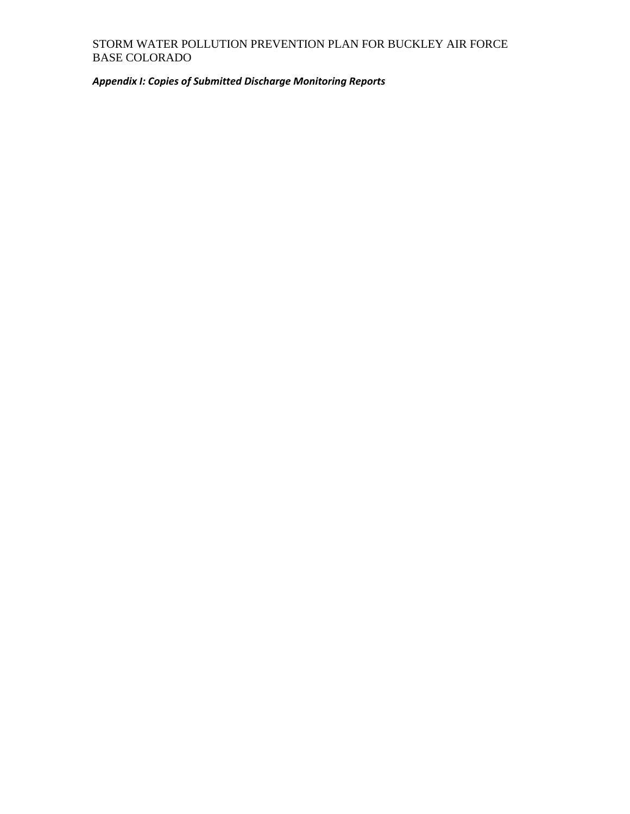<span id="page-51-0"></span>*Appendix I: Copies of Submitted Discharge Monitoring Reports*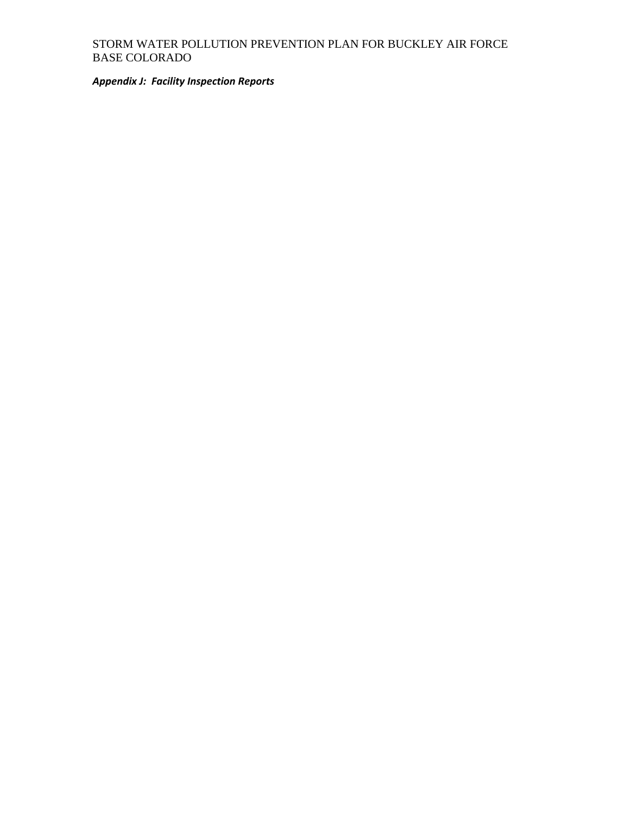<span id="page-52-0"></span>*Appendix J: Facility Inspection Reports*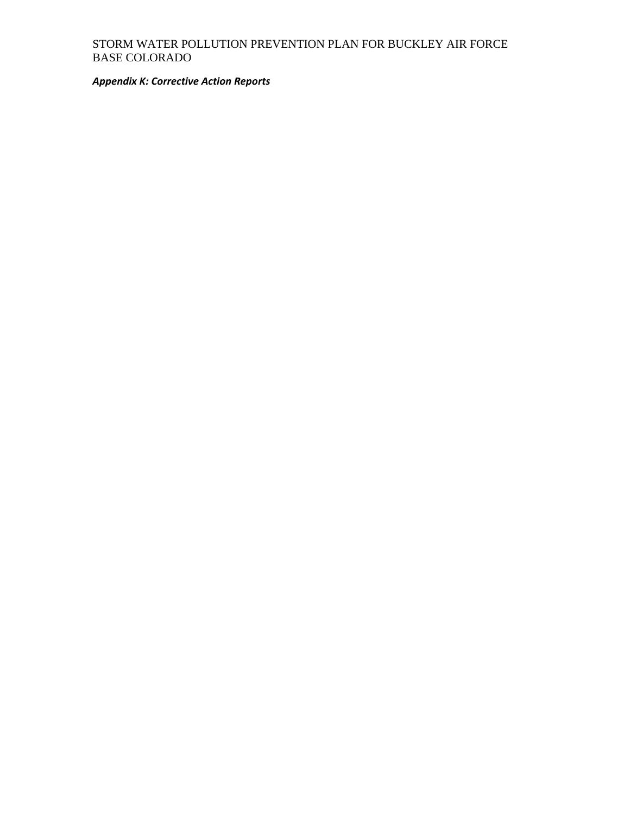<span id="page-53-0"></span>*Appendix K: Corrective Action Reports*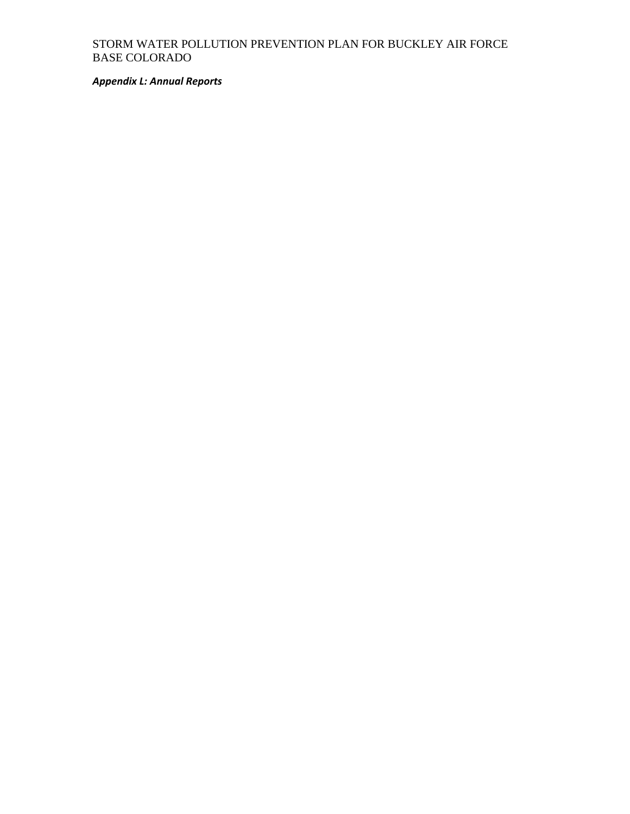<span id="page-54-0"></span>*Appendix L: Annual Reports*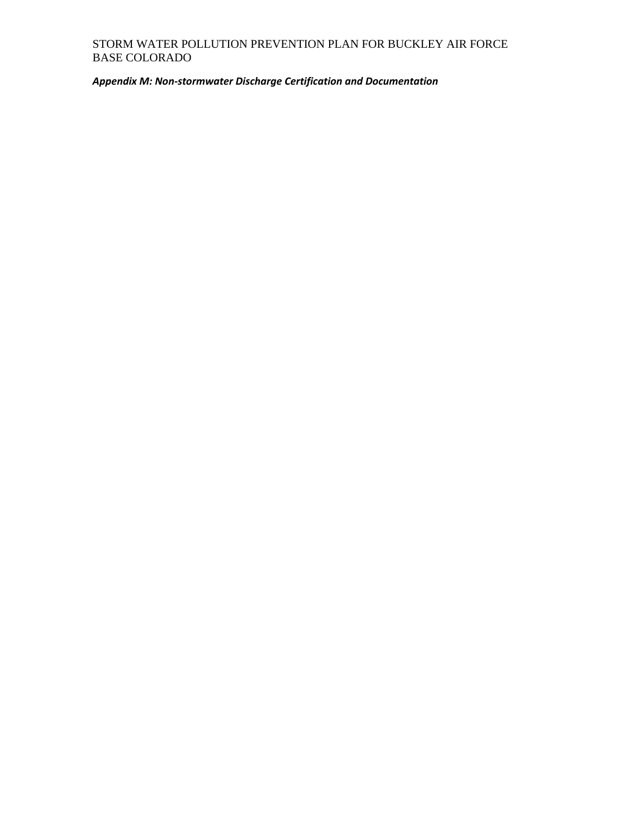<span id="page-55-0"></span>*Appendix M: Non-stormwater Discharge Certification and Documentation*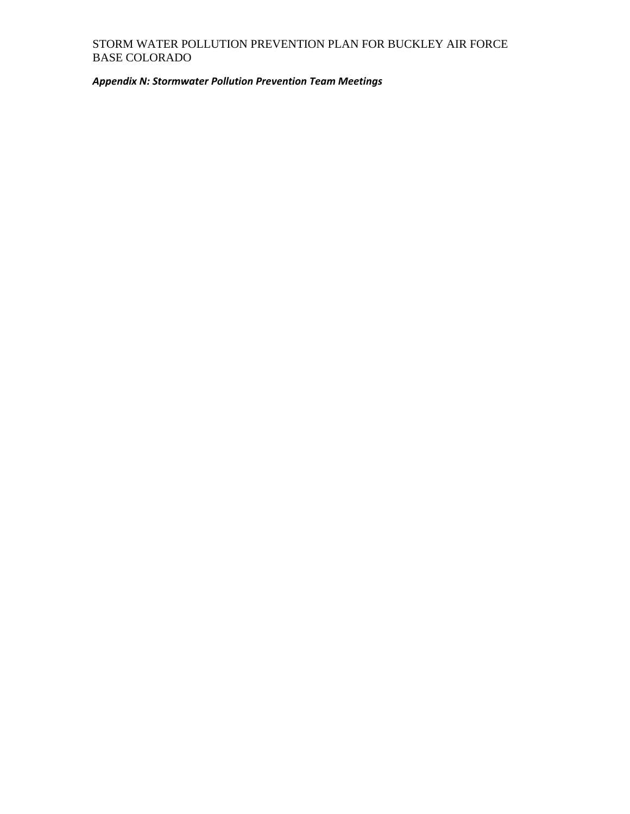<span id="page-56-0"></span>*Appendix N: Stormwater Pollution Prevention Team Meetings*